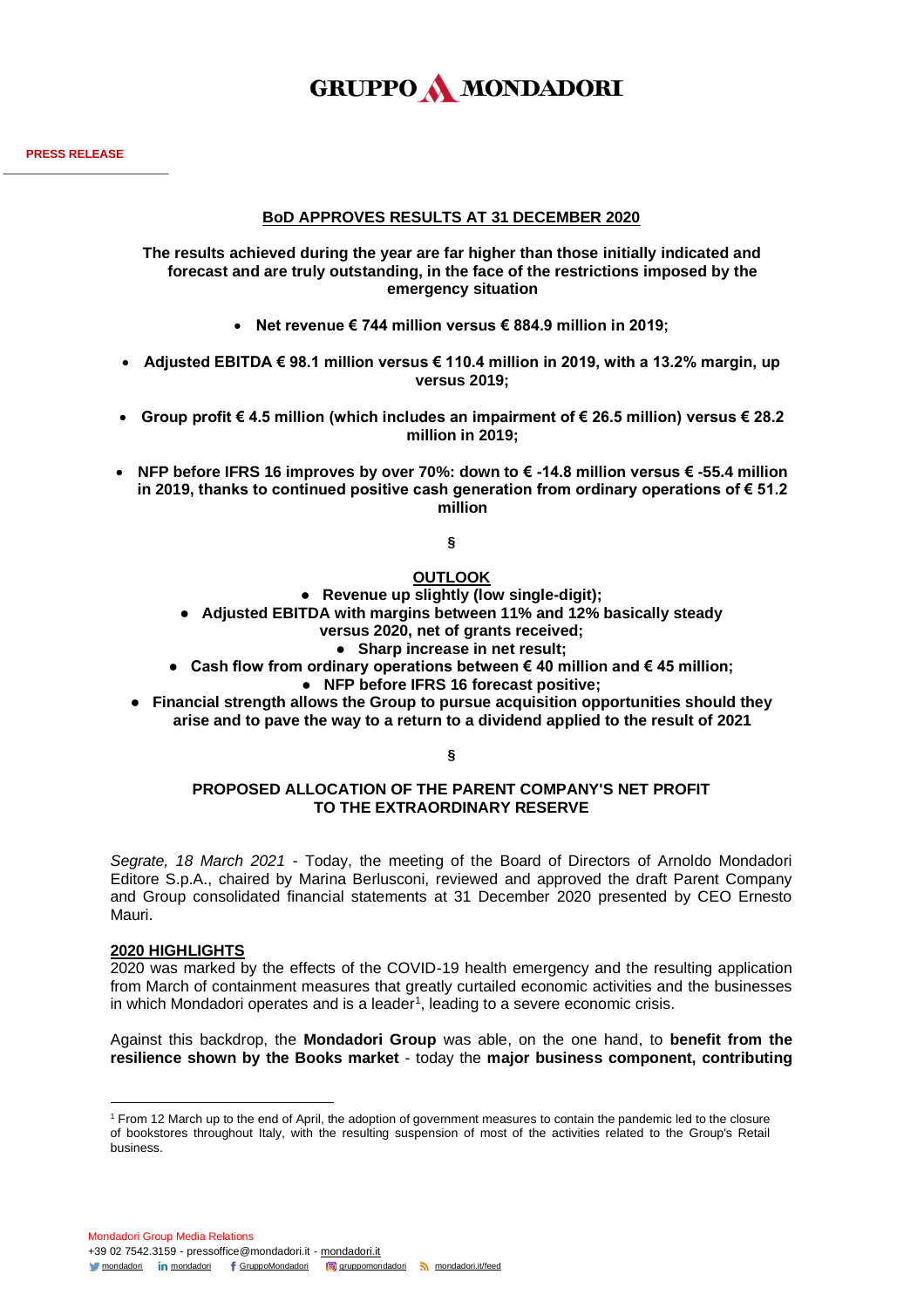

## **BoD APPROVES RESULTS AT 31 DECEMBER 2020**

**The results achieved during the year are far higher than those initially indicated and forecast and are truly outstanding, in the face of the restrictions imposed by the emergency situation**

- **Net revenue € 744 million versus € 884.9 million in 2019;**
- **Adjusted EBITDA € 98.1 million versus € 110.4 million in 2019, with a 13.2% margin, up versus 2019;**
- **Group profit € 4.5 million (which includes an impairment of € 26.5 million) versus € 28.2 million in 2019;**
- **NFP before IFRS 16 improves by over 70%: down to € -14.8 million versus € -55.4 million in 2019, thanks to continued positive cash generation from ordinary operations of € 51.2 million**

**§**

## **OUTLOOK**

● **Revenue up slightly (low single-digit);**

● **Adjusted EBITDA with margins between 11% and 12% basically steady**

**versus 2020, net of grants received;**

● **Sharp increase in net result;**

- **Cash flow from ordinary operations between € 40 million and € 45 million;** ● **NFP before IFRS 16 forecast positive;**
- **Financial strength allows the Group to pursue acquisition opportunities should they arise and to pave the way to a return to a dividend applied to the result of 2021**

**§**

### **PROPOSED ALLOCATION OF THE PARENT COMPANY'S NET PROFIT TO THE EXTRAORDINARY RESERVE**

*Segrate, 18 March 2021* - Today, the meeting of the Board of Directors of Arnoldo Mondadori Editore S.p.A., chaired by Marina Berlusconi, reviewed and approved the draft Parent Company and Group consolidated financial statements at 31 December 2020 presented by CEO Ernesto Mauri.

#### **2020 HIGHLIGHTS**

2020 was marked by the effects of the COVID-19 health emergency and the resulting application from March of containment measures that greatly curtailed economic activities and the businesses in which Mondadori operates and is a leader<sup>1</sup>, leading to a severe economic crisis.

Against this backdrop, the **Mondadori Group** was able, on the one hand, to **benefit from the resilience shown by the Books market** - today the **major business component, contributing** 

<sup>1</sup> From 12 March up to the end of April, the adoption of government measures to contain the pandemic led to the closure of bookstores throughout Italy, with the resulting suspension of most of the activities related to the Group's Retail business.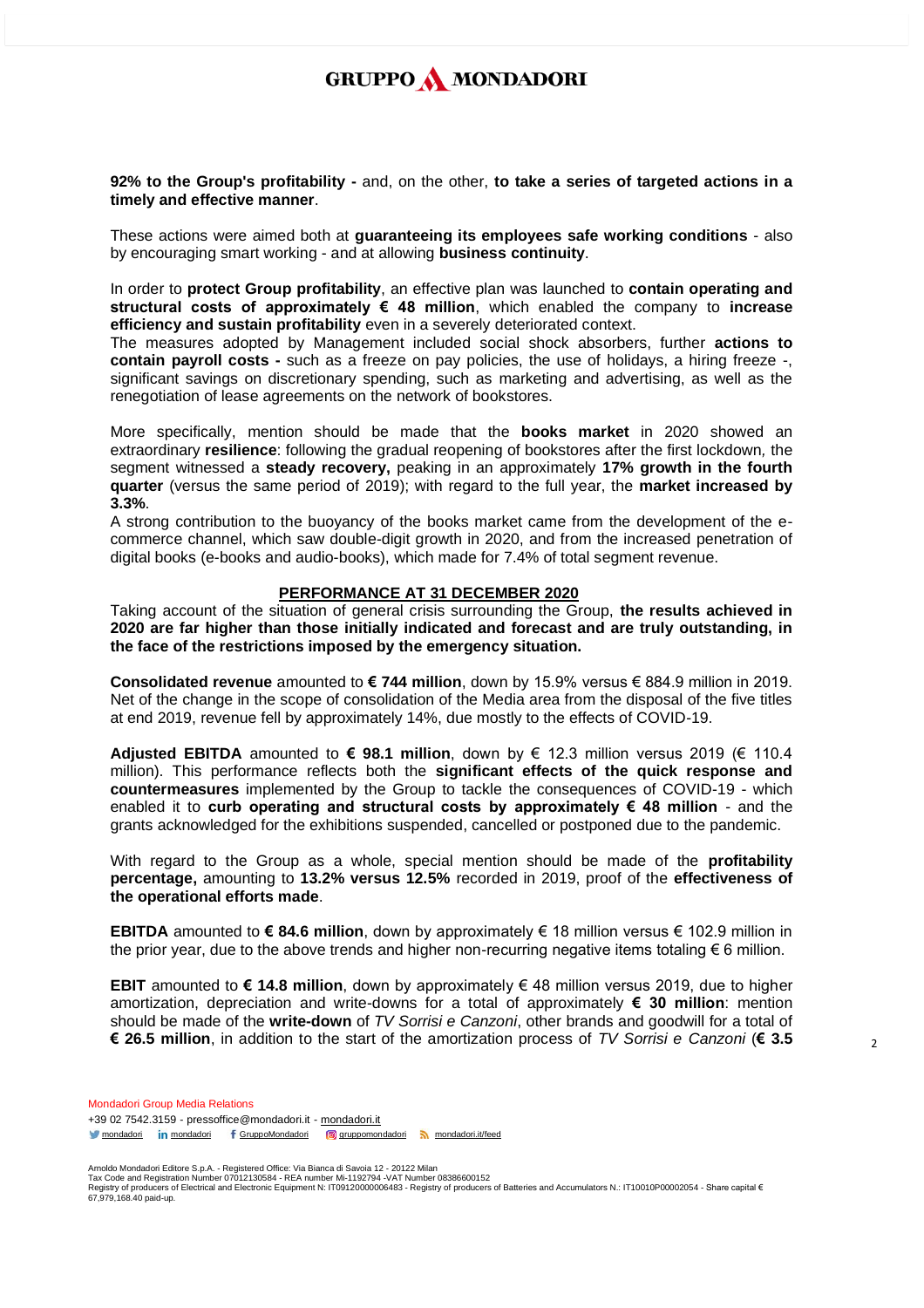**92% to the Group's profitability -** and, on the other, **to take a series of targeted actions in a timely and effective manner**.

These actions were aimed both at **guaranteeing its employees safe working conditions** - also by encouraging smart working - and at allowing **business continuity**.

In order to **protect Group profitability**, an effective plan was launched to **contain operating and structural costs of approximately € 48 million**, which enabled the company to **increase efficiency and sustain profitability** even in a severely deteriorated context.

The measures adopted by Management included social shock absorbers, further **actions to contain payroll costs -** such as a freeze on pay policies, the use of holidays, a hiring freeze -, significant savings on discretionary spending, such as marketing and advertising, as well as the renegotiation of lease agreements on the network of bookstores.

More specifically, mention should be made that the **books market** in 2020 showed an extraordinary **resilience**: following the gradual reopening of bookstores after the first lockdown*,* the segment witnessed a **steady recovery,** peaking in an approximately **17% growth in the fourth quarter** (versus the same period of 2019); with regard to the full year, the **market increased by 3.3%**.

A strong contribution to the buoyancy of the books market came from the development of the ecommerce channel, which saw double-digit growth in 2020, and from the increased penetration of digital books (e-books and audio-books), which made for 7.4% of total segment revenue.

#### **PERFORMANCE AT 31 DECEMBER 2020**

Taking account of the situation of general crisis surrounding the Group, **the results achieved in 2020 are far higher than those initially indicated and forecast and are truly outstanding, in the face of the restrictions imposed by the emergency situation.**

**Consolidated revenue** amounted to **€ 744 million**, down by 15.9% versus € 884.9 million in 2019. Net of the change in the scope of consolidation of the Media area from the disposal of the five titles at end 2019, revenue fell by approximately 14%, due mostly to the effects of COVID-19.

**Adjusted EBITDA** amounted to **€ 98.1 million**, down by € 12.3 million versus 2019 (€ 110.4 million). This performance reflects both the **significant effects of the quick response and countermeasures** implemented by the Group to tackle the consequences of COVID-19 - which enabled it to **curb operating and structural costs by approximately € 48 million** - and the grants acknowledged for the exhibitions suspended, cancelled or postponed due to the pandemic.

With regard to the Group as a whole, special mention should be made of the **profitability percentage,** amounting to **13.2% versus 12.5%** recorded in 2019, proof of the **effectiveness of the operational efforts made**.

**EBITDA** amounted to **€ 84.6 million**, down by approximately € 18 million versus € 102.9 million in the prior year, due to the above trends and higher non-recurring negative items totaling € 6 million.

**EBIT** amounted to **€ 14.8 million**, down by approximately € 48 million versus 2019, due to higher amortization, depreciation and write-downs for a total of approximately **€ 30 million**: mention should be made of the **write-down** of *TV Sorrisi e Canzoni*, other brands and goodwill for a total of **€ 26.5 million**, in addition to the start of the amortization process of *TV Sorrisi e Canzoni* (**€ 3.5** 

Mondadori Group Media Relations +39 02 7542.3159 - pressoffice@mondadori.it - [mondadori.it](http://www.mondadori.it/) [mondadori](http://www.linkedin.com/company/mondadori) in mondadori f [GruppoMondadori](http://www.facebook.com/GruppoMondadori) **g** [gruppomondadori](https://www.instagram.com/gruppomondadori/) [mondadori.it/feed](http://www.mondadori.it/feed)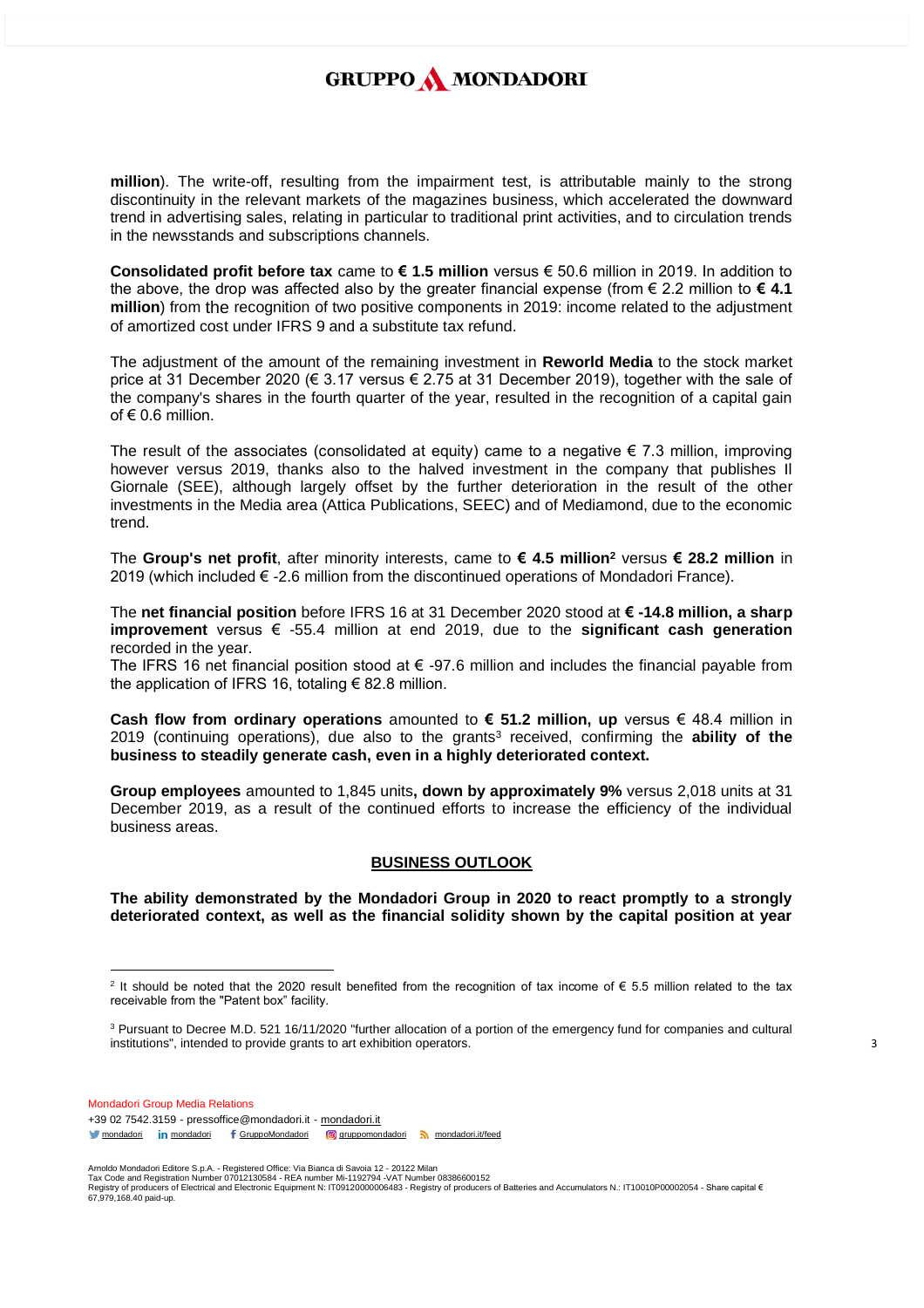**million**). The write-off, resulting from the impairment test, is attributable mainly to the strong discontinuity in the relevant markets of the magazines business, which accelerated the downward trend in advertising sales, relating in particular to traditional print activities, and to circulation trends in the newsstands and subscriptions channels.

**Consolidated profit before tax** came to **€ 1.5 million** versus € 50.6 million in 2019. In addition to the above, the drop was affected also by the greater financial expense (from € 2.2 million to **€ 4.1 million**) from the recognition of two positive components in 2019: income related to the adjustment of amortized cost under IFRS 9 and a substitute tax refund.

The adjustment of the amount of the remaining investment in **Reworld Media** to the stock market price at 31 December 2020 (€ 3.17 versus € 2.75 at 31 December 2019), together with the sale of the company's shares in the fourth quarter of the year, resulted in the recognition of a capital gain of  $\epsilon$  0.6 million.

The result of the associates (consolidated at equity) came to a negative  $\epsilon$  7.3 million, improving however versus 2019, thanks also to the halved investment in the company that publishes Il Giornale (SEE), although largely offset by the further deterioration in the result of the other investments in the Media area (Attica Publications, SEEC) and of Mediamond, due to the economic trend.

The **Group's net profit**, after minority interests, came to **€ 4.5 million<sup>2</sup>** versus **€ 28.2 million** in 2019 (which included  $€ -2.6$  million from the discontinued operations of Mondadori France).

The **net financial position** before IFRS 16 at 31 December 2020 stood at **€ -14.8 million, a sharp improvement** versus € -55.4 million at end 2019, due to the **significant cash generation** recorded in the year.

The IFRS 16 net financial position stood at  $\epsilon$  -97.6 million and includes the financial payable from the application of IFRS 16, totaling  $\epsilon$  82.8 million.

**Cash flow from ordinary operations** amounted to **€ 51.2 million, up** versus € 48.4 million in 2019 (continuing operations), due also to the grants<sup>3</sup> received, confirming the **ability of the business to steadily generate cash, even in a highly deteriorated context.**

**Group employees** amounted to 1,845 units**, down by approximately 9%** versus 2,018 units at 31 December 2019, as a result of the continued efforts to increase the efficiency of the individual business areas.

#### **BUSINESS OUTLOOK**

**The ability demonstrated by the Mondadori Group in 2020 to react promptly to a strongly deteriorated context, as well as the financial solidity shown by the capital position at year** 

Mondadori Group Media Relations +39 02 7542.3159 - pressoffice@mondadori.it - [mondadori.it](http://www.mondadori.it/) [mondadori](http://www.linkedin.com/company/mondadori) in mondadori f [GruppoMondadori](http://www.facebook.com/GruppoMondadori) **g** [gruppomondadori](https://www.instagram.com/gruppomondadori/) [mondadori.it/feed](http://www.mondadori.it/feed)

<sup>&</sup>lt;sup>2</sup> It should be noted that the 2020 result benefited from the recognition of tax income of € 5.5 million related to the tax receivable from the "Patent box" facility.

<sup>&</sup>lt;sup>3</sup> Pursuant to Decree M.D. 521 16/11/2020 "further allocation of a portion of the emergency fund for companies and cultural institutions", intended to provide grants to art exhibition operators.

Amoldo Mondadori Editore S.p.A. - Registered Office: Via Bianca di Savoia 12 - 20122 Milan<br>Tax Code and Registration Number 07012130584 - REA number Mi-1192794 -VAT Number 08386600152<br>Registry of producers of Electrical a 67,979,168.40 paid-up.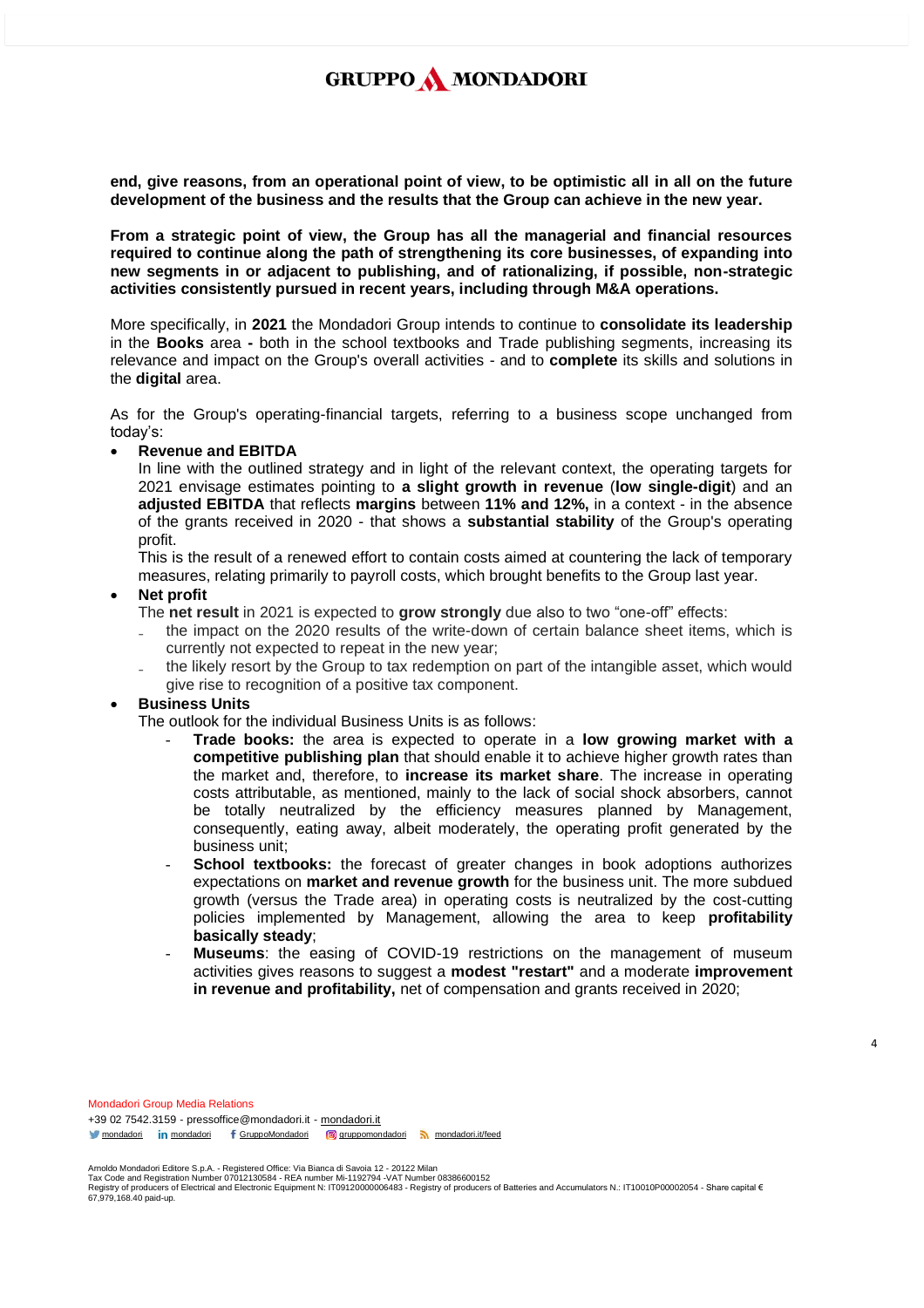**end, give reasons, from an operational point of view, to be optimistic all in all on the future development of the business and the results that the Group can achieve in the new year.**

**From a strategic point of view, the Group has all the managerial and financial resources required to continue along the path of strengthening its core businesses, of expanding into new segments in or adjacent to publishing, and of rationalizing, if possible, non-strategic activities consistently pursued in recent years, including through M&A operations.**

More specifically, in **2021** the Mondadori Group intends to continue to **consolidate its leadership** in the **Books** area **-** both in the school textbooks and Trade publishing segments, increasing its relevance and impact on the Group's overall activities - and to **complete** its skills and solutions in the **digital** area.

As for the Group's operating-financial targets, referring to a business scope unchanged from today's:

#### • **Revenue and EBITDA**

In line with the outlined strategy and in light of the relevant context, the operating targets for 2021 envisage estimates pointing to **a slight growth in revenue** (**low single-digit**) and an **adjusted EBITDA** that reflects **margins** between **11% and 12%,** in a context - in the absence of the grants received in 2020 - that shows a **substantial stability** of the Group's operating profit.

This is the result of a renewed effort to contain costs aimed at countering the lack of temporary measures, relating primarily to payroll costs, which brought benefits to the Group last year.

#### • **Net profit**

The **net result** in 2021 is expected to **grow strongly** due also to two "one-off" effects:

- ₋ the impact on the 2020 results of the write-down of certain balance sheet items, which is currently not expected to repeat in the new year;
- ₋ the likely resort by the Group to tax redemption on part of the intangible asset, which would give rise to recognition of a positive tax component.

## • **Business Units**

The outlook for the individual Business Units is as follows:

- **Trade books:** the area is expected to operate in a **low growing market with a competitive publishing plan** that should enable it to achieve higher growth rates than the market and, therefore, to **increase its market share**. The increase in operating costs attributable, as mentioned, mainly to the lack of social shock absorbers, cannot be totally neutralized by the efficiency measures planned by Management, consequently, eating away, albeit moderately, the operating profit generated by the business unit;
- **School textbooks:** the forecast of greater changes in book adoptions authorizes expectations on **market and revenue growth** for the business unit. The more subdued growth (versus the Trade area) in operating costs is neutralized by the cost-cutting policies implemented by Management, allowing the area to keep **profitability basically steady**;
- **Museums**: the easing of COVID-19 restrictions on the management of museum activities gives reasons to suggest a **modest "restart"** and a moderate **improvement in revenue and profitability,** net of compensation and grants received in 2020;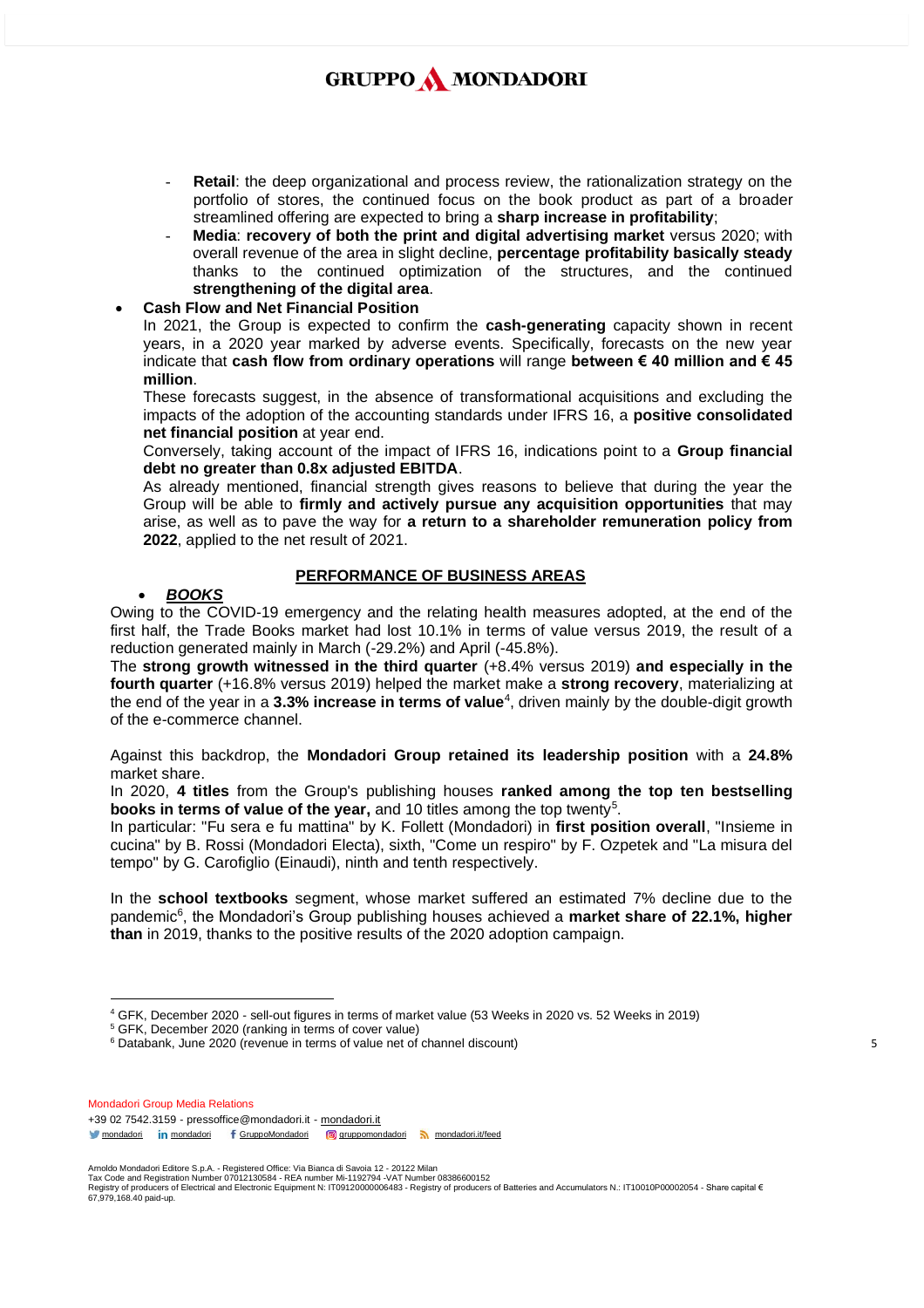- **Retail:** the deep organizational and process review, the rationalization strategy on the portfolio of stores, the continued focus on the book product as part of a broader streamlined offering are expected to bring a **sharp increase in profitability**;
- **Media: recovery of both the print and digital advertising market** versus 2020; with overall revenue of the area in slight decline, **percentage profitability basically steady**  thanks to the continued optimization of the structures, and the continued **strengthening of the digital area**.

### • **Cash Flow and Net Financial Position**

In 2021, the Group is expected to confirm the **cash-generating** capacity shown in recent years, in a 2020 year marked by adverse events. Specifically, forecasts on the new year indicate that **cash flow from ordinary operations** will range **between € 40 million and € 45 million**.

These forecasts suggest, in the absence of transformational acquisitions and excluding the impacts of the adoption of the accounting standards under IFRS 16, a **positive consolidated net financial position** at year end.

Conversely, taking account of the impact of IFRS 16, indications point to a **Group financial debt no greater than 0.8x adjusted EBITDA**.

As already mentioned, financial strength gives reasons to believe that during the year the Group will be able to **firmly and actively pursue any acquisition opportunities** that may arise, as well as to pave the way for **a return to a shareholder remuneration policy from 2022**, applied to the net result of 2021.

## **PERFORMANCE OF BUSINESS AREAS**

## • *BOOKS*

Owing to the COVID-19 emergency and the relating health measures adopted, at the end of the first half, the Trade Books market had lost 10.1% in terms of value versus 2019, the result of a reduction generated mainly in March (-29.2%) and April (-45.8%).

The **strong growth witnessed in the third quarter** (+8.4% versus 2019) **and especially in the fourth quarter** (+16.8% versus 2019) helped the market make a **strong recovery**, materializing at the end of the year in a **3.3% increase in terms of value**<sup>4</sup> , driven mainly by the double-digit growth of the e-commerce channel.

Against this backdrop, the **Mondadori Group retained its leadership position** with a **24.8%**  market share.

In 2020, **4 titles** from the Group's publishing houses **ranked among the top ten bestselling books in terms of value of the year,** and 10 titles among the top twenty<sup>5</sup>.

In particular: "Fu sera e fu mattina" by K. Follett (Mondadori) in **first position overall**, "Insieme in cucina" by B. Rossi (Mondadori Electa), sixth, "Come un respiro" by F. Ozpetek and "La misura del tempo" by G. Carofiglio (Einaudi), ninth and tenth respectively.

In the **school textbooks** segment, whose market suffered an estimated 7% decline due to the pandemic<sup>6</sup>, the Mondadori's Group publishing houses achieved a **market share of 22.1%, higher than** in 2019, thanks to the positive results of the 2020 adoption campaign.

Mondadori Group Media Relations +39 02 7542.3159 - pressoffice@mondadori.it - [mondadori.it](http://www.mondadori.it/) [mondadori](http://www.linkedin.com/company/mondadori) in mondadori f [GruppoMondadori](http://www.facebook.com/GruppoMondadori) **g** [gruppomondadori](https://www.instagram.com/gruppomondadori/) [mondadori.it/feed](http://www.mondadori.it/feed)

<sup>4</sup> GFK, December 2020 - sell-out figures in terms of market value (53 Weeks in 2020 vs. 52 Weeks in 2019)

<sup>5</sup> GFK, December 2020 (ranking in terms of cover value)

<sup>&</sup>lt;sup>6</sup> Databank, June 2020 (revenue in terms of value net of channel discount)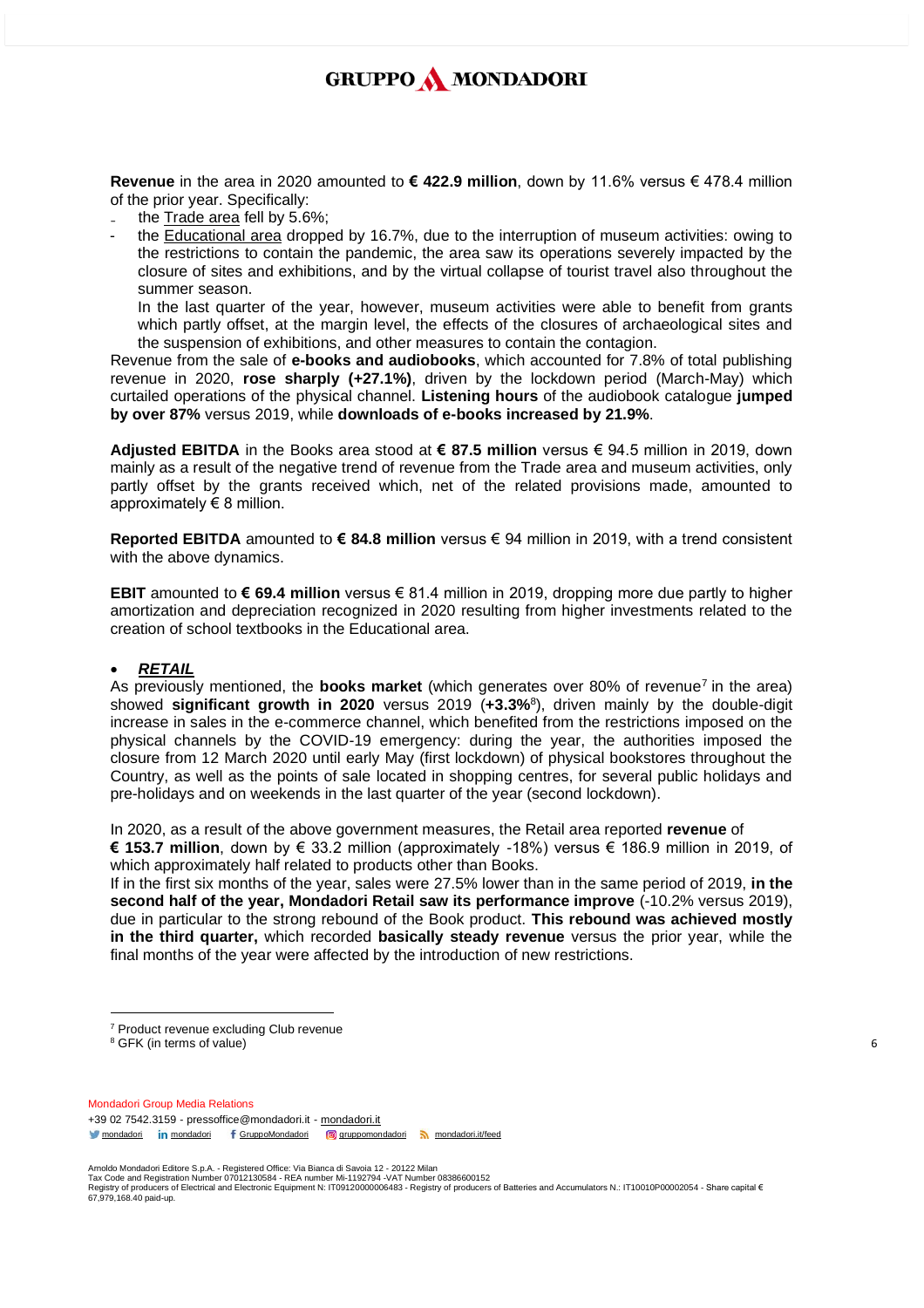**Revenue** in the area in 2020 amounted to **€ 422.9 million**, down by 11.6% versus € 478.4 million of the prior year. Specifically:

- the Trade area fell by 5.6%;
- the Educational area dropped by 16.7%, due to the interruption of museum activities: owing to the restrictions to contain the pandemic, the area saw its operations severely impacted by the closure of sites and exhibitions, and by the virtual collapse of tourist travel also throughout the summer season.

In the last quarter of the year, however, museum activities were able to benefit from grants which partly offset, at the margin level, the effects of the closures of archaeological sites and the suspension of exhibitions, and other measures to contain the contagion.

Revenue from the sale of **e-books and audiobooks**, which accounted for 7.8% of total publishing revenue in 2020, **rose sharply (+27.1%)**, driven by the lockdown period (March-May) which curtailed operations of the physical channel. **Listening hours** of the audiobook catalogue **jumped by over 87%** versus 2019, while **downloads of e-books increased by 21.9%**.

**Adjusted EBITDA** in the Books area stood at **€ 87.5 million** versus € 94.5 million in 2019, down mainly as a result of the negative trend of revenue from the Trade area and museum activities, only partly offset by the grants received which, net of the related provisions made, amounted to approximately  $\epsilon$  8 million.

**Reported EBITDA** amounted to **€ 84.8 million** versus € 94 million in 2019, with a trend consistent with the above dynamics.

**EBIT** amounted to **€ 69.4 million** versus € 81.4 million in 2019, dropping more due partly to higher amortization and depreciation recognized in 2020 resulting from higher investments related to the creation of school textbooks in the Educational area.

### • *RETAIL*

As previously mentioned, the **books market** (which generates over 80% of revenue<sup>7</sup> in the area) showed **significant growth in 2020** versus 2019 (**+3.3%**<sup>8</sup> ), driven mainly by the double-digit increase in sales in the e-commerce channel, which benefited from the restrictions imposed on the physical channels by the COVID-19 emergency: during the year, the authorities imposed the closure from 12 March 2020 until early May (first lockdown) of physical bookstores throughout the Country, as well as the points of sale located in shopping centres, for several public holidays and pre-holidays and on weekends in the last quarter of the year (second lockdown).

In 2020, as a result of the above government measures, the Retail area reported **revenue** of **€ 153.7 million**, down by € 33.2 million (approximately -18%) versus € 186.9 million in 2019, of

which approximately half related to products other than Books.

If in the first six months of the year, sales were 27.5% lower than in the same period of 2019, **in the second half of the year, Mondadori Retail saw its performance improve** (-10.2% versus 2019), due in particular to the strong rebound of the Book product. **This rebound was achieved mostly in the third quarter,** which recorded **basically steady revenue** versus the prior year, while the final months of the year were affected by the introduction of new restrictions.

- <sup>7</sup> Product revenue excluding Club revenue
- <sup>8</sup> GFK (in terms of value)

Mondadori Group Media Relations +39 02 7542.3159 - pressoffice@mondadori.it - [mondadori.it](http://www.mondadori.it/) [mondadori](http://www.linkedin.com/company/mondadori) in mondadori f [GruppoMondadori](http://www.facebook.com/GruppoMondadori) **g** [gruppomondadori](https://www.instagram.com/gruppomondadori/) [mondadori.it/feed](http://www.mondadori.it/feed)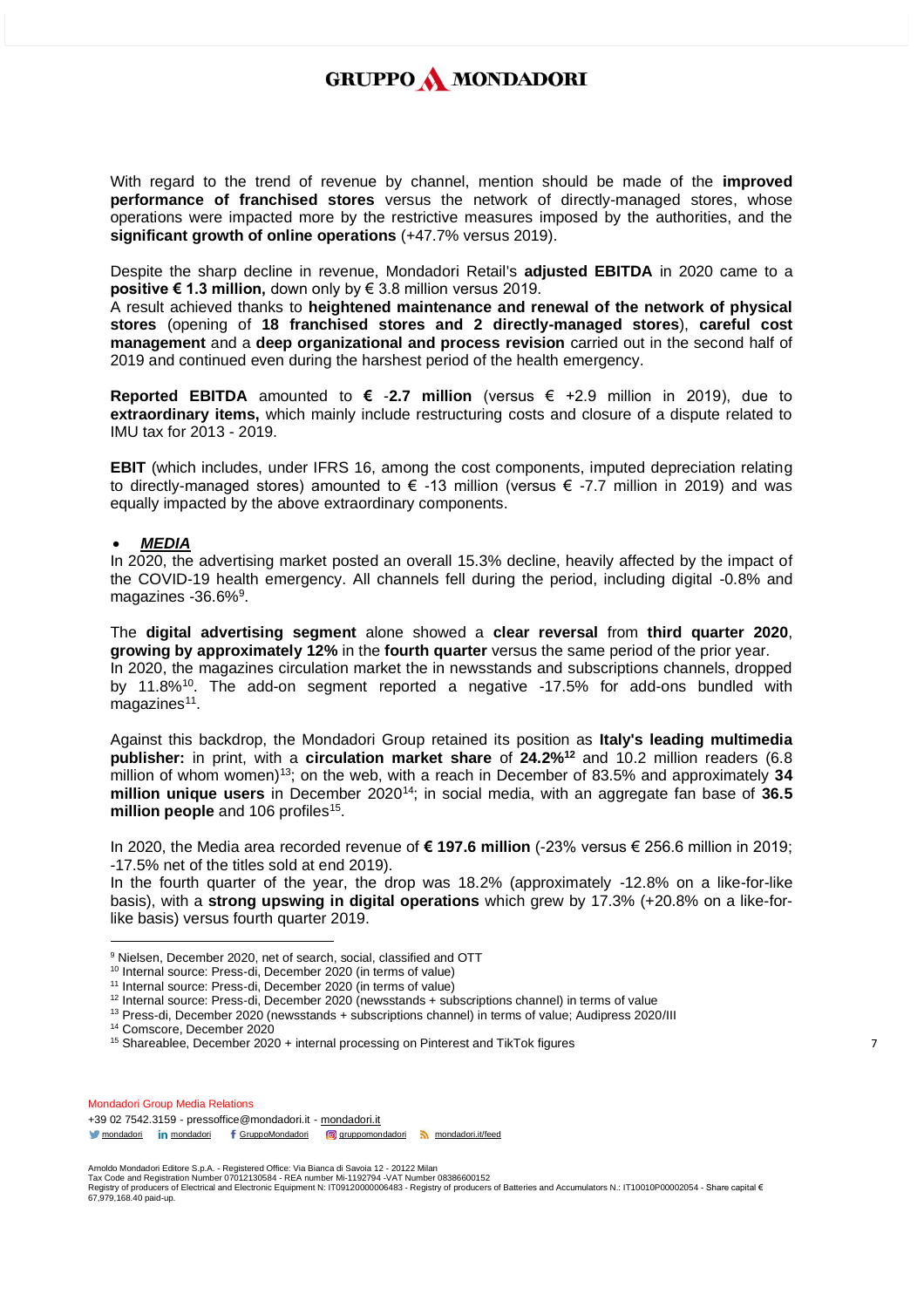With regard to the trend of revenue by channel, mention should be made of the **improved performance of franchised stores** versus the network of directly-managed stores, whose operations were impacted more by the restrictive measures imposed by the authorities, and the **significant growth of online operations** (+47.7% versus 2019).

Despite the sharp decline in revenue, Mondadori Retail's **adjusted EBITDA** in 2020 came to a **positive € 1.3 million,** down only by € 3.8 million versus 2019.

A result achieved thanks to **heightened maintenance and renewal of the network of physical stores** (opening of **18 franchised stores and 2 directly-managed stores**), **careful cost management** and a **deep organizational and process revision** carried out in the second half of 2019 and continued even during the harshest period of the health emergency.

**Reported EBITDA** amounted to **€** -**2.7 million** (versus € +2.9 million in 2019), due to **extraordinary items,** which mainly include restructuring costs and closure of a dispute related to IMU tax for 2013 - 2019.

**EBIT** (which includes, under IFRS 16, among the cost components, imputed depreciation relating to directly-managed stores) amounted to  $\epsilon$  -13 million (versus  $\epsilon$  -7.7 million in 2019) and was equally impacted by the above extraordinary components.

#### • *MEDIA*

In 2020, the advertising market posted an overall 15.3% decline, heavily affected by the impact of the COVID-19 health emergency. All channels fell during the period, including digital -0.8% and magazines -36.6%<sup>9</sup>.

The **digital advertising segment** alone showed a **clear reversal** from **third quarter 2020**, **growing by approximately 12%** in the **fourth quarter** versus the same period of the prior year. In 2020, the magazines circulation market the in newsstands and subscriptions channels, dropped by 11.8%<sup>10</sup>. The add-on segment reported a negative -17.5% for add-ons bundled with magazines<sup>11</sup>.

Against this backdrop, the Mondadori Group retained its position as **Italy's leading multimedia publisher:** in print, with a **circulation market share** of **24.2%<sup>12</sup>** and 10.2 million readers (6.8 million of whom women)<sup>13</sup>; on the web, with a reach in December of 83.5% and approximately **34 million unique users** in December 2020<sup>14</sup>; in social media, with an aggregate fan base of **36.5**  million people and 106 profiles<sup>15</sup>.

In 2020, the Media area recorded revenue of **€ 197.6 million** (-23% versus € 256.6 million in 2019; -17.5% net of the titles sold at end 2019).

In the fourth quarter of the year, the drop was 18.2% (approximately -12.8% on a like-for-like basis), with a **strong upswing in digital operations** which grew by 17.3% (+20.8% on a like-forlike basis) versus fourth quarter 2019.

<sup>14</sup> Comscore, December 2020

Mondadori Group Media Relations +39 02 7542.3159 - pressoffice@mondadori.it - [mondadori.it](http://www.mondadori.it/) [mondadori](http://www.linkedin.com/company/mondadori) in mondadori f [GruppoMondadori](http://www.facebook.com/GruppoMondadori) **g** [gruppomondadori](https://www.instagram.com/gruppomondadori/) [mondadori.it/feed](http://www.mondadori.it/feed)

<sup>&</sup>lt;sup>9</sup> Nielsen, December 2020, net of search, social, classified and OTT

<sup>10</sup> Internal source: Press-di, December 2020 (in terms of value)

<sup>&</sup>lt;sup>11</sup> Internal source: Press-di, December 2020 (in terms of value)

<sup>&</sup>lt;sup>12</sup> Internal source: Press-di, December 2020 (newsstands + subscriptions channel) in terms of value

<sup>13</sup> Press-di, December 2020 (newsstands + subscriptions channel) in terms of value; Audipress 2020/III

<sup>&</sup>lt;sup>15</sup> Shareablee, December 2020 + internal processing on Pinterest and TikTok figures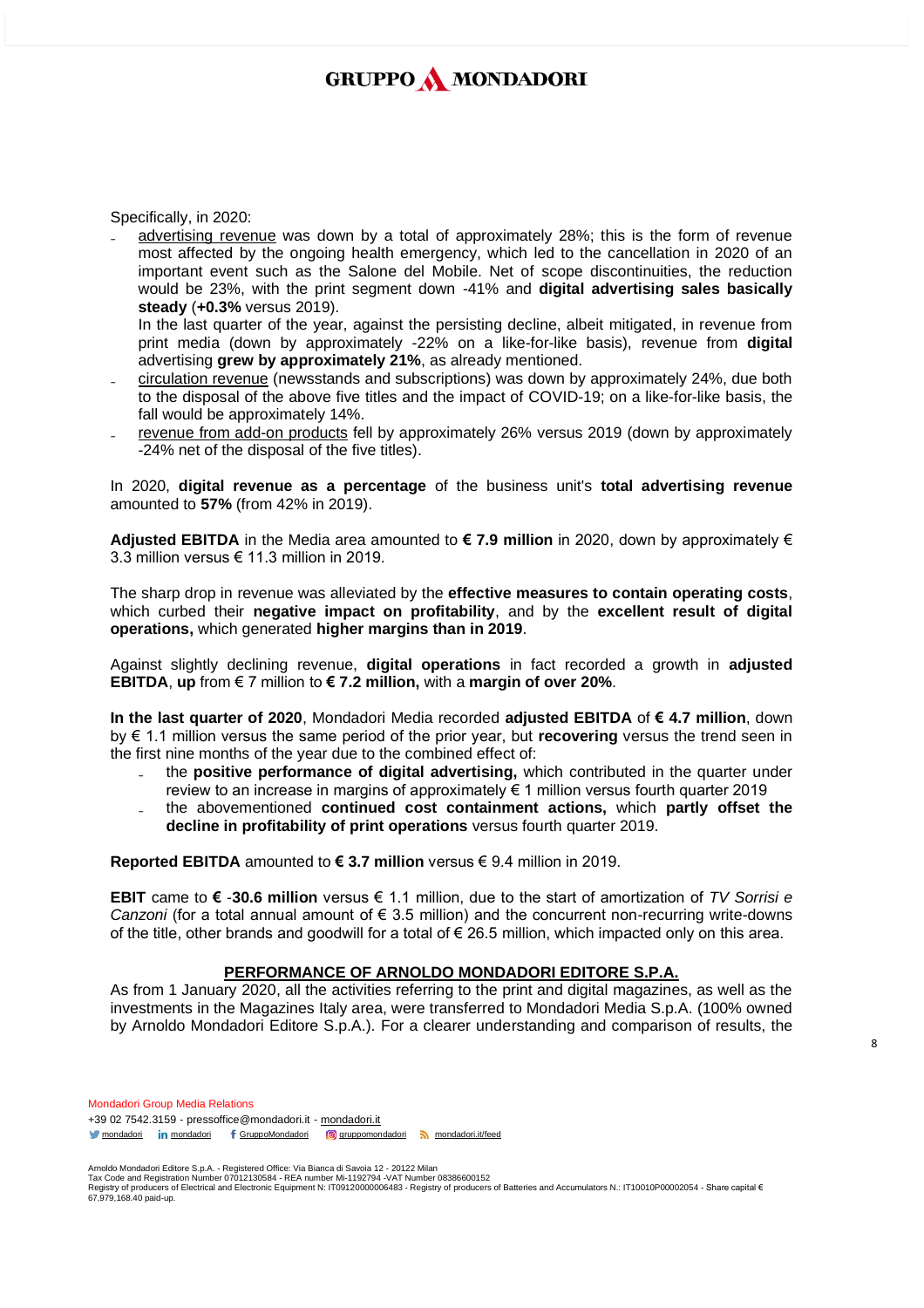Specifically, in 2020:

₋ advertising revenue was down by a total of approximately 28%; this is the form of revenue most affected by the ongoing health emergency, which led to the cancellation in 2020 of an important event such as the Salone del Mobile. Net of scope discontinuities, the reduction would be 23%, with the print segment down -41% and **digital advertising sales basically steady** (**+0.3%** versus 2019).

In the last quarter of the year, against the persisting decline, albeit mitigated, in revenue from print media (down by approximately -22% on a like-for-like basis), revenue from **digital** advertising **grew by approximately 21%**, as already mentioned.

- ₋ circulation revenue (newsstands and subscriptions) was down by approximately 24%, due both to the disposal of the above five titles and the impact of COVID-19; on a like-for-like basis, the fall would be approximately 14%.
- revenue from add-on products fell by approximately 26% versus 2019 (down by approximately -24% net of the disposal of the five titles).

In 2020, **digital revenue as a percentage** of the business unit's **total advertising revenue**  amounted to **57%** (from 42% in 2019).

**Adjusted EBITDA** in the Media area amounted to **€ 7.9 million** in 2020, down by approximately € 3.3 million versus  $\epsilon$  11.3 million in 2019.

The sharp drop in revenue was alleviated by the **effective measures to contain operating costs**, which curbed their **negative impact on profitability**, and by the **excellent result of digital operations,** which generated **higher margins than in 2019**.

Against slightly declining revenue, **digital operations** in fact recorded a growth in **adjusted EBITDA**, **up** from € 7 million to **€ 7.2 million,** with a **margin of over 20%**.

**In the last quarter of 2020**, Mondadori Media recorded **adjusted EBITDA** of **€ 4.7 million**, down by € 1.1 million versus the same period of the prior year, but **recovering** versus the trend seen in the first nine months of the year due to the combined effect of:

- ₋ the **positive performance of digital advertising,** which contributed in the quarter under review to an increase in margins of approximately € 1 million versus fourth quarter 2019
- ₋ the abovementioned **continued cost containment actions,** which **partly offset the decline in profitability of print operations** versus fourth quarter 2019.

**Reported EBITDA** amounted to **€ 3.7 million** versus € 9.4 million in 2019.

**EBIT** came to **€** -**30.6 million** versus € 1.1 million, due to the start of amortization of *TV Sorrisi e Canzoni* (for a total annual amount of € 3.5 million) and the concurrent non-recurring write-downs of the title, other brands and goodwill for a total of  $\epsilon$  26.5 million, which impacted only on this area.

### **PERFORMANCE OF ARNOLDO MONDADORI EDITORE S.P.A.**

As from 1 January 2020, all the activities referring to the print and digital magazines, as well as the investments in the Magazines Italy area, were transferred to Mondadori Media S.p.A. (100% owned by Arnoldo Mondadori Editore S.p.A.). For a clearer understanding and comparison of results, the

Mondadori Group Media Relations +39 02 7542.3159 - pressoffice@mondadori.it - [mondadori.it](http://www.mondadori.it/) [mondadori](http://www.linkedin.com/company/mondadori) in mondadori f [GruppoMondadori](http://www.facebook.com/GruppoMondadori) **g** [gruppomondadori](https://www.instagram.com/gruppomondadori/) [mondadori.it/feed](http://www.mondadori.it/feed)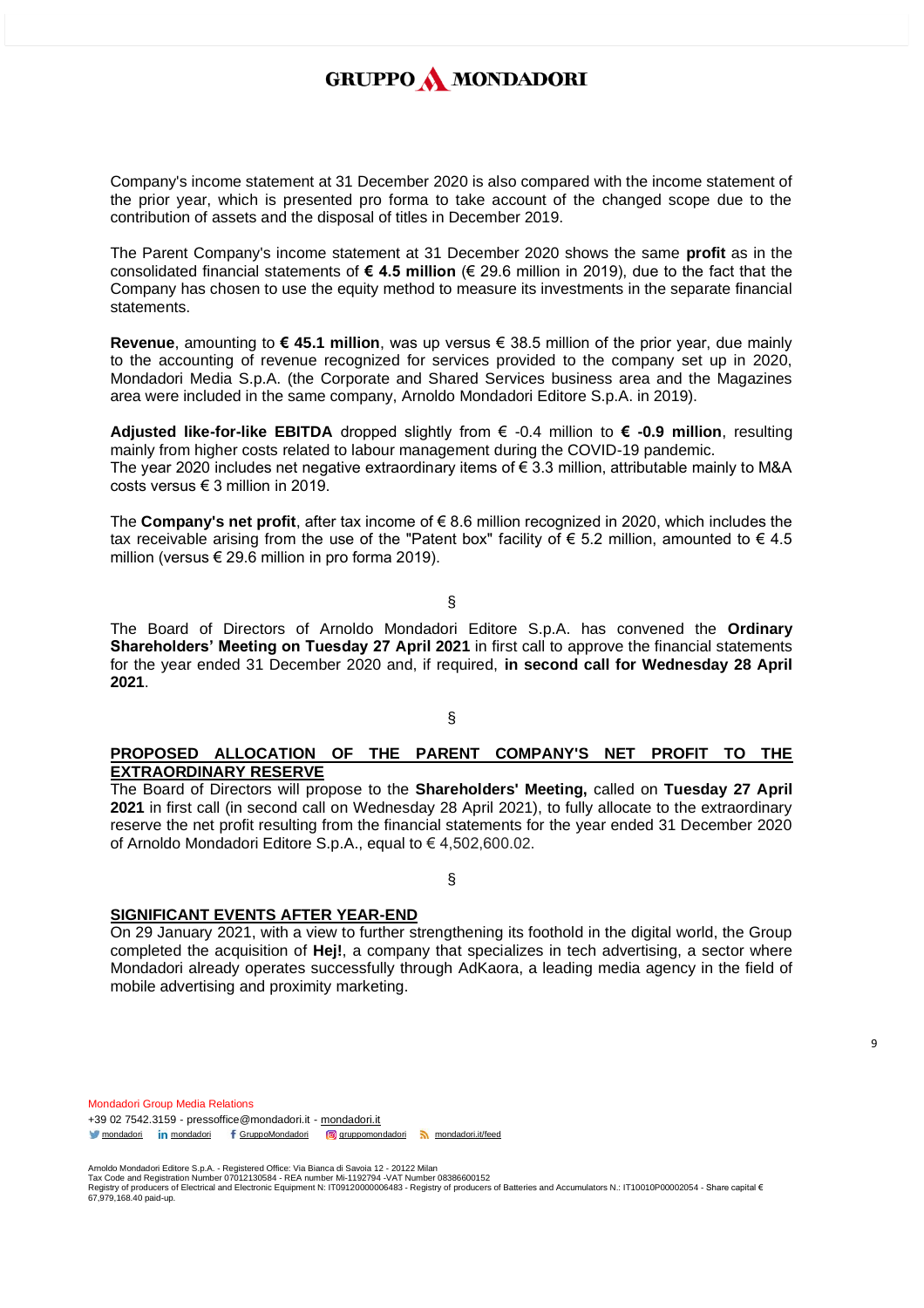Company's income statement at 31 December 2020 is also compared with the income statement of the prior year, which is presented pro forma to take account of the changed scope due to the contribution of assets and the disposal of titles in December 2019.

The Parent Company's income statement at 31 December 2020 shows the same **profit** as in the consolidated financial statements of **€ 4.5 million** (€ 29.6 million in 2019), due to the fact that the Company has chosen to use the equity method to measure its investments in the separate financial statements.

**Revenue**, amounting to **€ 45.1 million**, was up versus € 38.5 million of the prior year, due mainly to the accounting of revenue recognized for services provided to the company set up in 2020, Mondadori Media S.p.A. (the Corporate and Shared Services business area and the Magazines area were included in the same company, Arnoldo Mondadori Editore S.p.A. in 2019).

**Adjusted like-for-like EBITDA** dropped slightly from € -0.4 million to **€ -0.9 million**, resulting mainly from higher costs related to labour management during the COVID-19 pandemic. The year 2020 includes net negative extraordinary items of  $\epsilon$  3.3 million, attributable mainly to M&A costs versus € 3 million in 2019.

The **Company's net profit**, after tax income of € 8.6 million recognized in 2020, which includes the tax receivable arising from the use of the "Patent box" facility of  $\epsilon$  5.2 million, amounted to  $\epsilon$  4.5 million (versus € 29.6 million in pro forma 2019).

§

The Board of Directors of Arnoldo Mondadori Editore S.p.A. has convened the **Ordinary Shareholders' Meeting on Tuesday 27 April 2021** in first call to approve the financial statements for the year ended 31 December 2020 and, if required, **in second call for Wednesday 28 April 2021**.

§

## **PROPOSED ALLOCATION OF THE PARENT COMPANY'S NET PROFIT TO THE EXTRAORDINARY RESERVE**

The Board of Directors will propose to the **Shareholders' Meeting,** called on **Tuesday 27 April 2021** in first call (in second call on Wednesday 28 April 2021), to fully allocate to the extraordinary reserve the net profit resulting from the financial statements for the year ended 31 December 2020 of Arnoldo Mondadori Editore S.p.A., equal to € 4,502,600.02.

## §

## **SIGNIFICANT EVENTS AFTER YEAR-END**

On 29 January 2021, with a view to further strengthening its foothold in the digital world, the Group completed the acquisition of **Hej!**, a company that specializes in tech advertising, a sector where Mondadori already operates successfully through [AdKaora,](https://adkaora.com/) a leading media agency in the field of mobile advertising and proximity marketing.

Mondadori Group Media Relations +39 02 7542.3159 - pressoffice@mondadori.it - [mondadori.it](http://www.mondadori.it/) [mondadori](http://www.linkedin.com/company/mondadori) in mondadori f [GruppoMondadori](http://www.facebook.com/GruppoMondadori) **g** [gruppomondadori](https://www.instagram.com/gruppomondadori/) [mondadori.it/feed](http://www.mondadori.it/feed)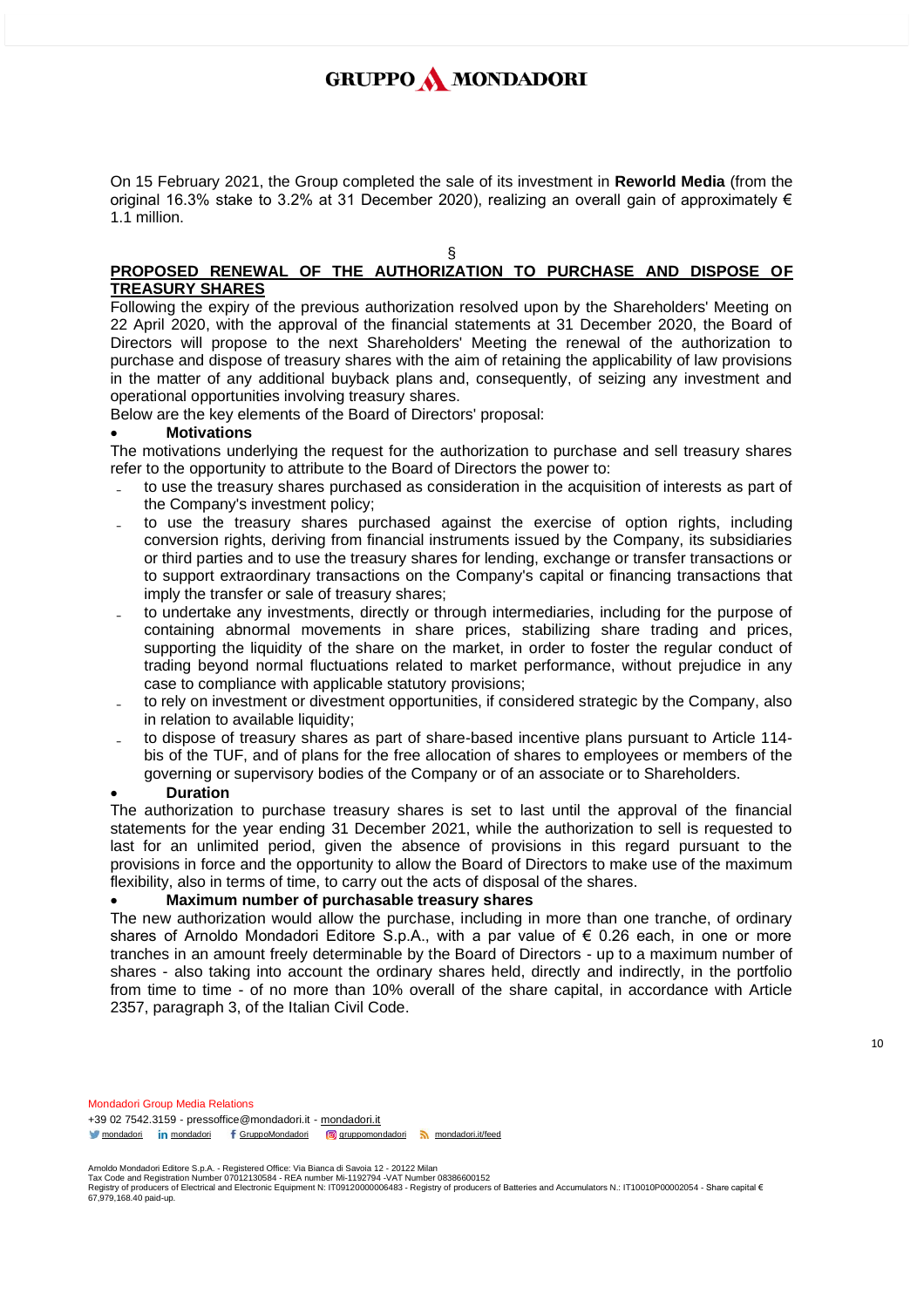On 15 February 2021, the Group completed the sale of its investment in **Reworld Media** (from the original 16.3% stake to 3.2% at 31 December 2020), realizing an overall gain of approximately  $\epsilon$ 1.1 million.

§

## **PROPOSED RENEWAL OF THE AUTHORIZATION TO PURCHASE AND DISPOSE OF TREASURY SHARES**

Following the expiry of the previous authorization resolved upon by the Shareholders' Meeting on 22 April 2020, with the approval of the financial statements at 31 December 2020, the Board of Directors will propose to the next Shareholders' Meeting the renewal of the authorization to purchase and dispose of treasury shares with the aim of retaining the applicability of law provisions in the matter of any additional buyback plans and, consequently, of seizing any investment and operational opportunities involving treasury shares.

Below are the key elements of the Board of Directors' proposal:

### • **Motivations**

The motivations underlying the request for the authorization to purchase and sell treasury shares refer to the opportunity to attribute to the Board of Directors the power to:

- ₋ to use the treasury shares purchased as consideration in the acquisition of interests as part of the Company's investment policy;
- to use the treasury shares purchased against the exercise of option rights, including conversion rights, deriving from financial instruments issued by the Company, its subsidiaries or third parties and to use the treasury shares for lending, exchange or transfer transactions or to support extraordinary transactions on the Company's capital or financing transactions that imply the transfer or sale of treasury shares;
- ₋ to undertake any investments, directly or through intermediaries, including for the purpose of containing abnormal movements in share prices, stabilizing share trading and prices, supporting the liquidity of the share on the market, in order to foster the regular conduct of trading beyond normal fluctuations related to market performance, without prejudice in any case to compliance with applicable statutory provisions;
- to rely on investment or divestment opportunities, if considered strategic by the Company, also in relation to available liquidity;
- to dispose of treasury shares as part of share-based incentive plans pursuant to Article 114bis of the TUF, and of plans for the free allocation of shares to employees or members of the governing or supervisory bodies of the Company or of an associate or to Shareholders.

### • **Duration**

The authorization to purchase treasury shares is set to last until the approval of the financial statements for the year ending 31 December 2021, while the authorization to sell is requested to last for an unlimited period, given the absence of provisions in this regard pursuant to the provisions in force and the opportunity to allow the Board of Directors to make use of the maximum flexibility, also in terms of time, to carry out the acts of disposal of the shares.

### • **Maximum number of purchasable treasury shares**

The new authorization would allow the purchase, including in more than one tranche, of ordinary shares of Arnoldo Mondadori Editore S.p.A., with a par value of  $\epsilon$  0.26 each, in one or more tranches in an amount freely determinable by the Board of Directors - up to a maximum number of shares - also taking into account the ordinary shares held, directly and indirectly, in the portfolio from time to time - of no more than 10% overall of the share capital, in accordance with Article 2357, paragraph 3, of the Italian Civil Code.

Mondadori Group Media Relations +39 02 7542.3159 - pressoffice@mondadori.it - [mondadori.it](http://www.mondadori.it/) [mondadori](http://www.linkedin.com/company/mondadori) in mondadori f [GruppoMondadori](http://www.facebook.com/GruppoMondadori) **g** [gruppomondadori](https://www.instagram.com/gruppomondadori/) [mondadori.it/feed](http://www.mondadori.it/feed)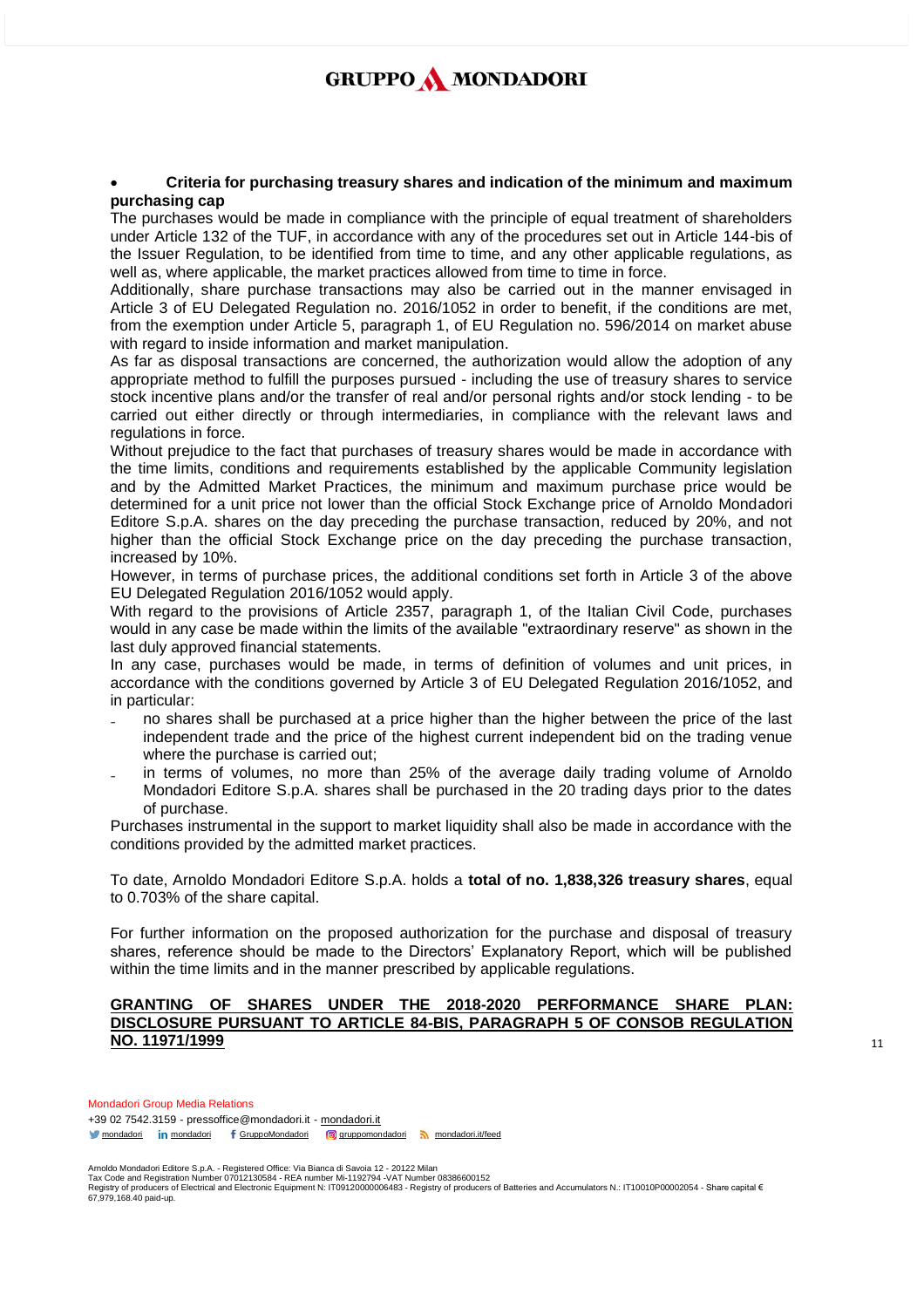#### • **Criteria for purchasing treasury shares and indication of the minimum and maximum purchasing cap**

The purchases would be made in compliance with the principle of equal treatment of shareholders under Article 132 of the TUF, in accordance with any of the procedures set out in Article 144-bis of the Issuer Regulation, to be identified from time to time, and any other applicable regulations, as well as, where applicable, the market practices allowed from time to time in force.

Additionally, share purchase transactions may also be carried out in the manner envisaged in Article 3 of EU Delegated Regulation no. 2016/1052 in order to benefit, if the conditions are met, from the exemption under Article 5, paragraph 1, of EU Regulation no. 596/2014 on market abuse with regard to inside information and market manipulation.

As far as disposal transactions are concerned, the authorization would allow the adoption of any appropriate method to fulfill the purposes pursued - including the use of treasury shares to service stock incentive plans and/or the transfer of real and/or personal rights and/or stock lending - to be carried out either directly or through intermediaries, in compliance with the relevant laws and regulations in force.

Without prejudice to the fact that purchases of treasury shares would be made in accordance with the time limits, conditions and requirements established by the applicable Community legislation and by the Admitted Market Practices, the minimum and maximum purchase price would be determined for a unit price not lower than the official Stock Exchange price of Arnoldo Mondadori Editore S.p.A. shares on the day preceding the purchase transaction, reduced by 20%, and not higher than the official Stock Exchange price on the day preceding the purchase transaction, increased by 10%.

However, in terms of purchase prices, the additional conditions set forth in Article 3 of the above EU Delegated Regulation 2016/1052 would apply.

With regard to the provisions of Article 2357, paragraph 1, of the Italian Civil Code, purchases would in any case be made within the limits of the available "extraordinary reserve" as shown in the last duly approved financial statements.

In any case, purchases would be made, in terms of definition of volumes and unit prices, in accordance with the conditions governed by Article 3 of EU Delegated Regulation 2016/1052, and in particular:

- no shares shall be purchased at a price higher than the higher between the price of the last independent trade and the price of the highest current independent bid on the trading venue where the purchase is carried out;
- in terms of volumes, no more than 25% of the average daily trading volume of Arnoldo Mondadori Editore S.p.A. shares shall be purchased in the 20 trading days prior to the dates of purchase.

Purchases instrumental in the support to market liquidity shall also be made in accordance with the conditions provided by the admitted market practices.

To date, Arnoldo Mondadori Editore S.p.A. holds a **total of no. 1,838,326 treasury shares**, equal to 0.703% of the share capital.

For further information on the proposed authorization for the purchase and disposal of treasury shares, reference should be made to the Directors' Explanatory Report, which will be published within the time limits and in the manner prescribed by applicable regulations.

#### **GRANTING OF SHARES UNDER THE 2018-2020 PERFORMANCE SHARE PLAN: DISCLOSURE PURSUANT TO ARTICLE 84-BIS, PARAGRAPH 5 OF CONSOB REGULATION NO. 11971/1999**

Mondadori Group Media Relations +39 02 7542.3159 - pressoffice@mondadori.it - [mondadori.it](http://www.mondadori.it/) [mondadori](http://www.linkedin.com/company/mondadori) in mondadori f [GruppoMondadori](http://www.facebook.com/GruppoMondadori) **g** [gruppomondadori](https://www.instagram.com/gruppomondadori/) [mondadori.it/feed](http://www.mondadori.it/feed)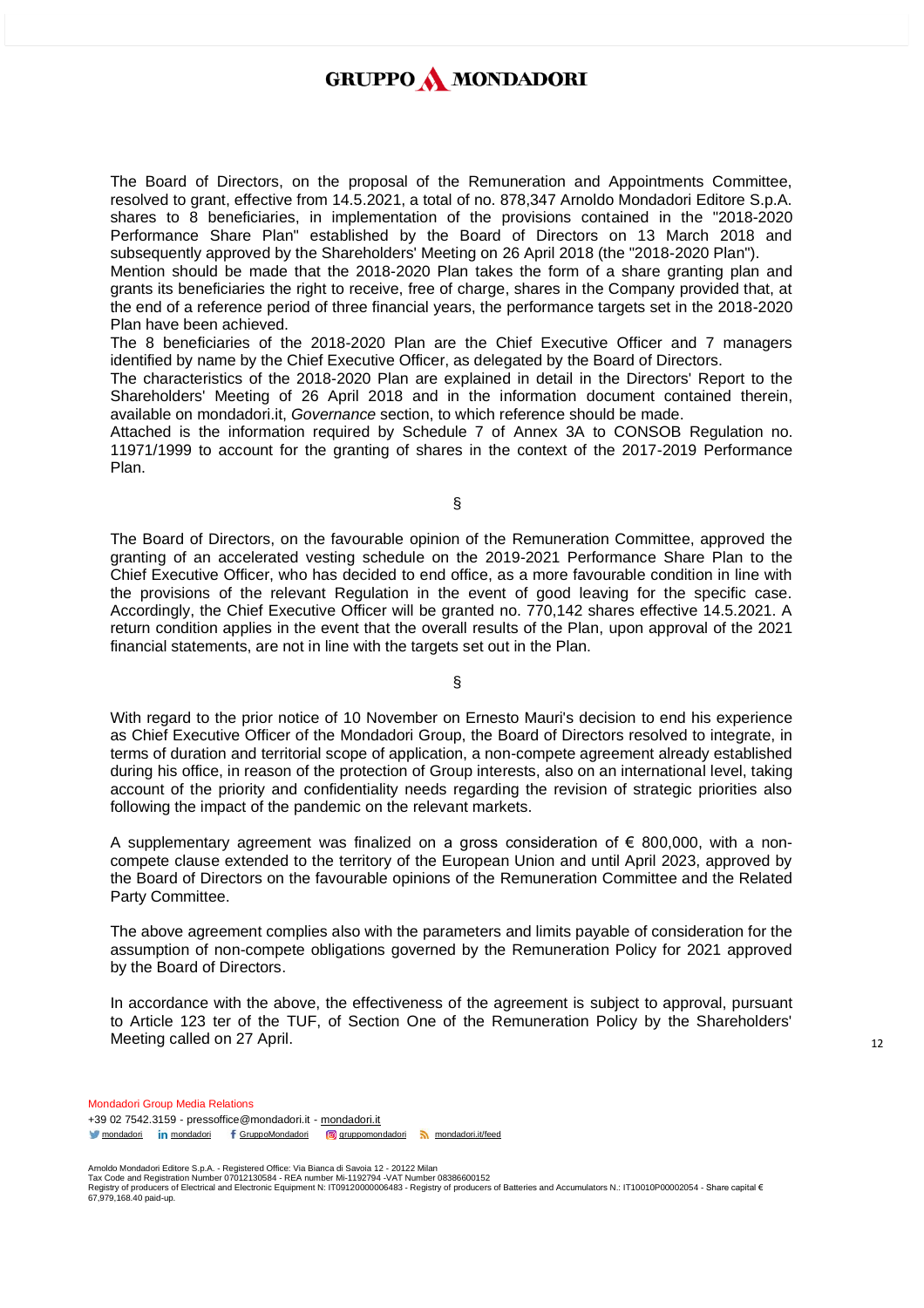The Board of Directors, on the proposal of the Remuneration and Appointments Committee, resolved to grant, effective from 14.5.2021, a total of no. 878,347 Arnoldo Mondadori Editore S.p.A. shares to 8 beneficiaries, in implementation of the provisions contained in the "2018-2020 Performance Share Plan" established by the Board of Directors on 13 March 2018 and subsequently approved by the Shareholders' Meeting on 26 April 2018 (the "2018-2020 Plan").

Mention should be made that the 2018-2020 Plan takes the form of a share granting plan and grants its beneficiaries the right to receive, free of charge, shares in the Company provided that, at the end of a reference period of three financial years, the performance targets set in the 2018-2020 Plan have been achieved.

The 8 beneficiaries of the 2018-2020 Plan are the Chief Executive Officer and 7 managers identified by name by the Chief Executive Officer, as delegated by the Board of Directors.

The characteristics of the 2018-2020 Plan are explained in detail in the Directors' Report to the Shareholders' Meeting of 26 April 2018 and in the information document contained therein, available on mondadori.it, *Governance* section, to which reference should be made.

Attached is the information required by Schedule 7 of Annex 3A to CONSOB Regulation no. 11971/1999 to account for the granting of shares in the context of the 2017-2019 Performance Plan.

§

The Board of Directors, on the favourable opinion of the Remuneration Committee, approved the granting of an accelerated vesting schedule on the 2019-2021 Performance Share Plan to the Chief Executive Officer, who has decided to end office, as a more favourable condition in line with the provisions of the relevant Regulation in the event of good leaving for the specific case. Accordingly, the Chief Executive Officer will be granted no. 770,142 shares effective 14.5.2021. A return condition applies in the event that the overall results of the Plan, upon approval of the 2021 financial statements, are not in line with the targets set out in the Plan.

§

With regard to the prior notice of 10 November on Ernesto Mauri's decision to end his experience as Chief Executive Officer of the Mondadori Group, the Board of Directors resolved to integrate, in terms of duration and territorial scope of application, a non-compete agreement already established during his office, in reason of the protection of Group interests, also on an international level, taking account of the priority and confidentiality needs regarding the revision of strategic priorities also following the impact of the pandemic on the relevant markets.

A supplementary agreement was finalized on a gross consideration of  $\epsilon$  800,000, with a noncompete clause extended to the territory of the European Union and until April 2023, approved by the Board of Directors on the favourable opinions of the Remuneration Committee and the Related Party Committee.

The above agreement complies also with the parameters and limits payable of consideration for the assumption of non-compete obligations governed by the Remuneration Policy for 2021 approved by the Board of Directors.

In accordance with the above, the effectiveness of the agreement is subject to approval, pursuant to Article 123 ter of the TUF, of Section One of the Remuneration Policy by the Shareholders' Meeting called on 27 April.

Mondadori Group Media Relations +39 02 7542.3159 - pressoffice@mondadori.it - [mondadori.it](http://www.mondadori.it/) [mondadori](http://www.linkedin.com/company/mondadori) in mondadori f [GruppoMondadori](http://www.facebook.com/GruppoMondadori) **g** [gruppomondadori](https://www.instagram.com/gruppomondadori/) [mondadori.it/feed](http://www.mondadori.it/feed)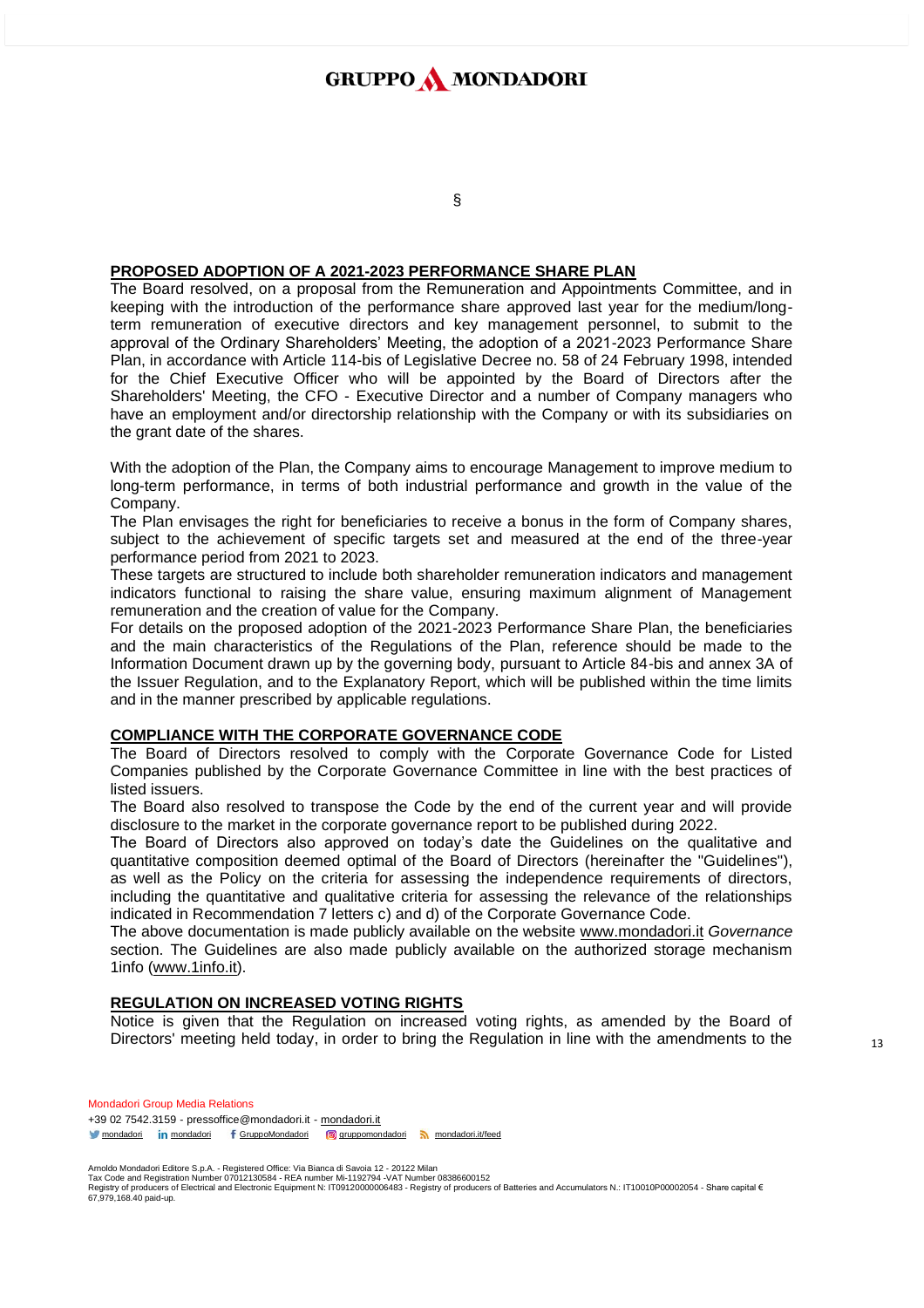## §

### **PROPOSED ADOPTION OF A 2021-2023 PERFORMANCE SHARE PLAN**

The Board resolved, on a proposal from the Remuneration and Appointments Committee, and in keeping with the introduction of the performance share approved last year for the medium/longterm remuneration of executive directors and key management personnel, to submit to the approval of the Ordinary Shareholders' Meeting, the adoption of a 2021-2023 Performance Share Plan, in accordance with Article 114-bis of Legislative Decree no. 58 of 24 February 1998, intended for the Chief Executive Officer who will be appointed by the Board of Directors after the Shareholders' Meeting, the CFO - Executive Director and a number of Company managers who have an employment and/or directorship relationship with the Company or with its subsidiaries on the grant date of the shares.

With the adoption of the Plan, the Company aims to encourage Management to improve medium to long-term performance, in terms of both industrial performance and growth in the value of the Company.

The Plan envisages the right for beneficiaries to receive a bonus in the form of Company shares, subject to the achievement of specific targets set and measured at the end of the three-year performance period from 2021 to 2023.

These targets are structured to include both shareholder remuneration indicators and management indicators functional to raising the share value, ensuring maximum alignment of Management remuneration and the creation of value for the Company.

For details on the proposed adoption of the 2021-2023 Performance Share Plan, the beneficiaries and the main characteristics of the Regulations of the Plan, reference should be made to the Information Document drawn up by the governing body, pursuant to Article 84-bis and annex 3A of the Issuer Regulation, and to the Explanatory Report, which will be published within the time limits and in the manner prescribed by applicable regulations.

### **COMPLIANCE WITH THE CORPORATE GOVERNANCE CODE**

The Board of Directors resolved to comply with the Corporate Governance Code for Listed Companies published by the Corporate Governance Committee in line with the best practices of listed issuers.

The Board also resolved to transpose the Code by the end of the current year and will provide disclosure to the market in the corporate governance report to be published during 2022.

The Board of Directors also approved on today's date the Guidelines on the qualitative and quantitative composition deemed optimal of the Board of Directors (hereinafter the "Guidelines"), as well as the Policy on the criteria for assessing the independence requirements of directors, including the quantitative and qualitative criteria for assessing the relevance of the relationships indicated in Recommendation 7 letters c) and d) of the Corporate Governance Code.

The above documentation is made publicly available on the website www[.mondadori.it](http://www.mondadori.it/) *Governance* section. The Guidelines are also made publicly available on the authorized storage mechanism 1info [\(www.1info.it\)](http://www.1info.it/).

### **REGULATION ON INCREASED VOTING RIGHTS**

Notice is given that the Regulation on increased voting rights, as amended by the Board of Directors' meeting held today, in order to bring the Regulation in line with the amendments to the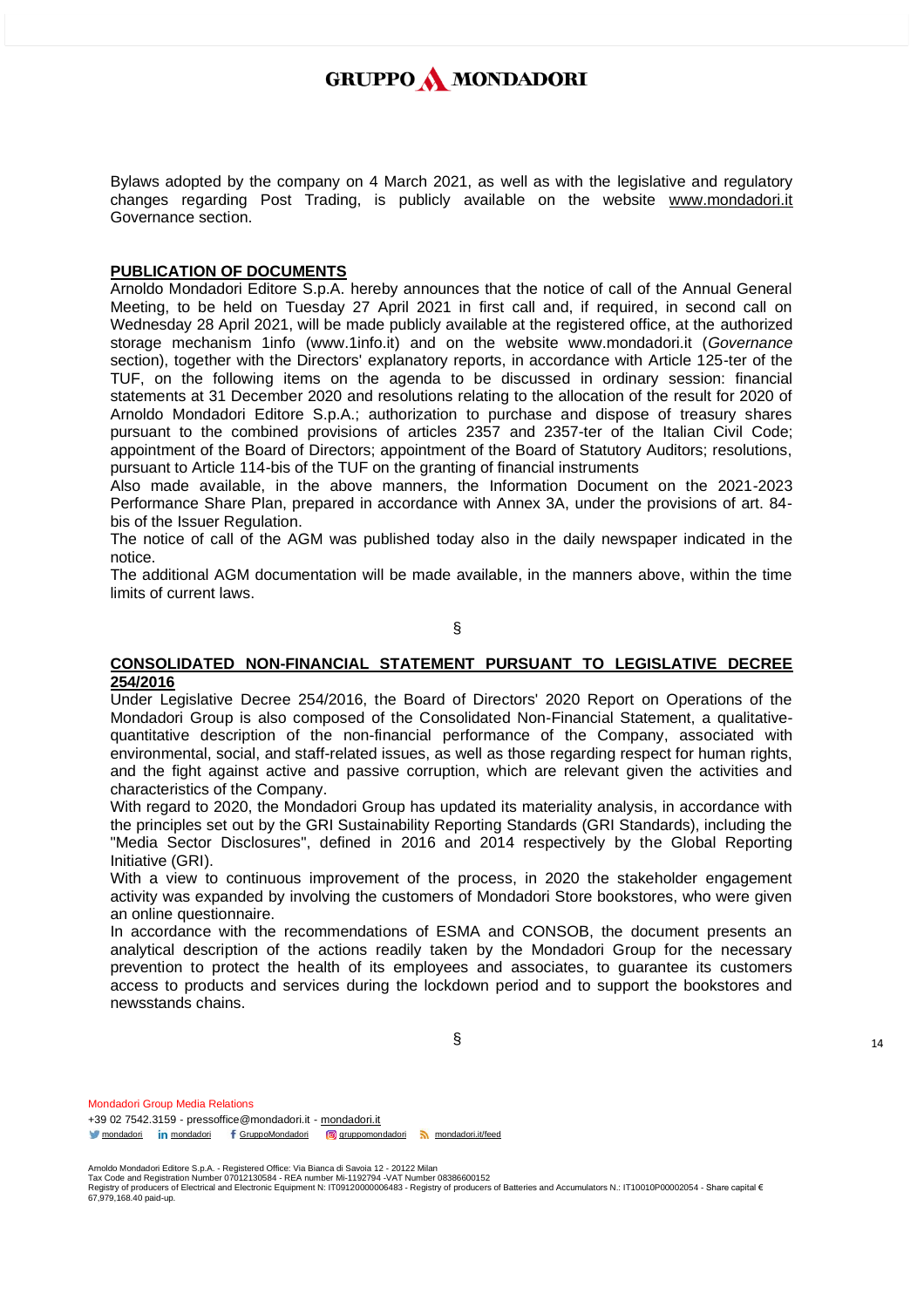Bylaws adopted by the company on 4 March 2021, as well as with the legislative and regulatory changes regarding Post Trading, is publicly available on the website [www.mondadori.it](http://www.mondadori.it/) Governance section.

### **PUBLICATION OF DOCUMENTS**

Arnoldo Mondadori Editore S.p.A. hereby announces that the notice of call of the Annual General Meeting, to be held on Tuesday 27 April 2021 in first call and, if required, in second call on Wednesday 28 April 2021, will be made publicly available at the registered office, at the authorized storage mechanism 1info (www.1info.it) and on the website www.mondadori.it (*Governance* section), together with the Directors' explanatory reports, in accordance with Article 125-ter of the TUF, on the following items on the agenda to be discussed in ordinary session: financial statements at 31 December 2020 and resolutions relating to the allocation of the result for 2020 of Arnoldo Mondadori Editore S.p.A.; authorization to purchase and dispose of treasury shares pursuant to the combined provisions of articles 2357 and 2357-ter of the Italian Civil Code; appointment of the Board of Directors; appointment of the Board of Statutory Auditors; resolutions, pursuant to Article 114-bis of the TUF on the granting of financial instruments

Also made available, in the above manners, the Information Document on the 2021-2023 Performance Share Plan, prepared in accordance with Annex 3A, under the provisions of art. 84 bis of the Issuer Regulation.

The notice of call of the AGM was published today also in the daily newspaper indicated in the notice.

The additional AGM documentation will be made available, in the manners above, within the time limits of current laws.

§

#### **CONSOLIDATED NON-FINANCIAL STATEMENT PURSUANT TO LEGISLATIVE DECREE 254/2016**

Under Legislative Decree 254/2016, the Board of Directors' 2020 Report on Operations of the Mondadori Group is also composed of the Consolidated Non-Financial Statement, a qualitativequantitative description of the non-financial performance of the Company, associated with environmental, social, and staff-related issues, as well as those regarding respect for human rights, and the fight against active and passive corruption, which are relevant given the activities and characteristics of the Company.

With regard to 2020, the Mondadori Group has updated its materiality analysis, in accordance with the principles set out by the GRI Sustainability Reporting Standards (GRI Standards), including the "Media Sector Disclosures", defined in 2016 and 2014 respectively by the Global Reporting Initiative (GRI).

With a view to continuous improvement of the process, in 2020 the stakeholder engagement activity was expanded by involving the customers of Mondadori Store bookstores, who were given an online questionnaire.

In accordance with the recommendations of ESMA and CONSOB, the document presents an analytical description of the actions readily taken by the Mondadori Group for the necessary prevention to protect the health of its employees and associates, to guarantee its customers access to products and services during the lockdown period and to support the bookstores and newsstands chains.

§

Mondadori Group Media Relations +39 02 7542.3159 - pressoffice@mondadori.it - [mondadori.it](http://www.mondadori.it/) [mondadori](http://www.linkedin.com/company/mondadori) in mondadori f [GruppoMondadori](http://www.facebook.com/GruppoMondadori) **g** [gruppomondadori](https://www.instagram.com/gruppomondadori/) [mondadori.it/feed](http://www.mondadori.it/feed)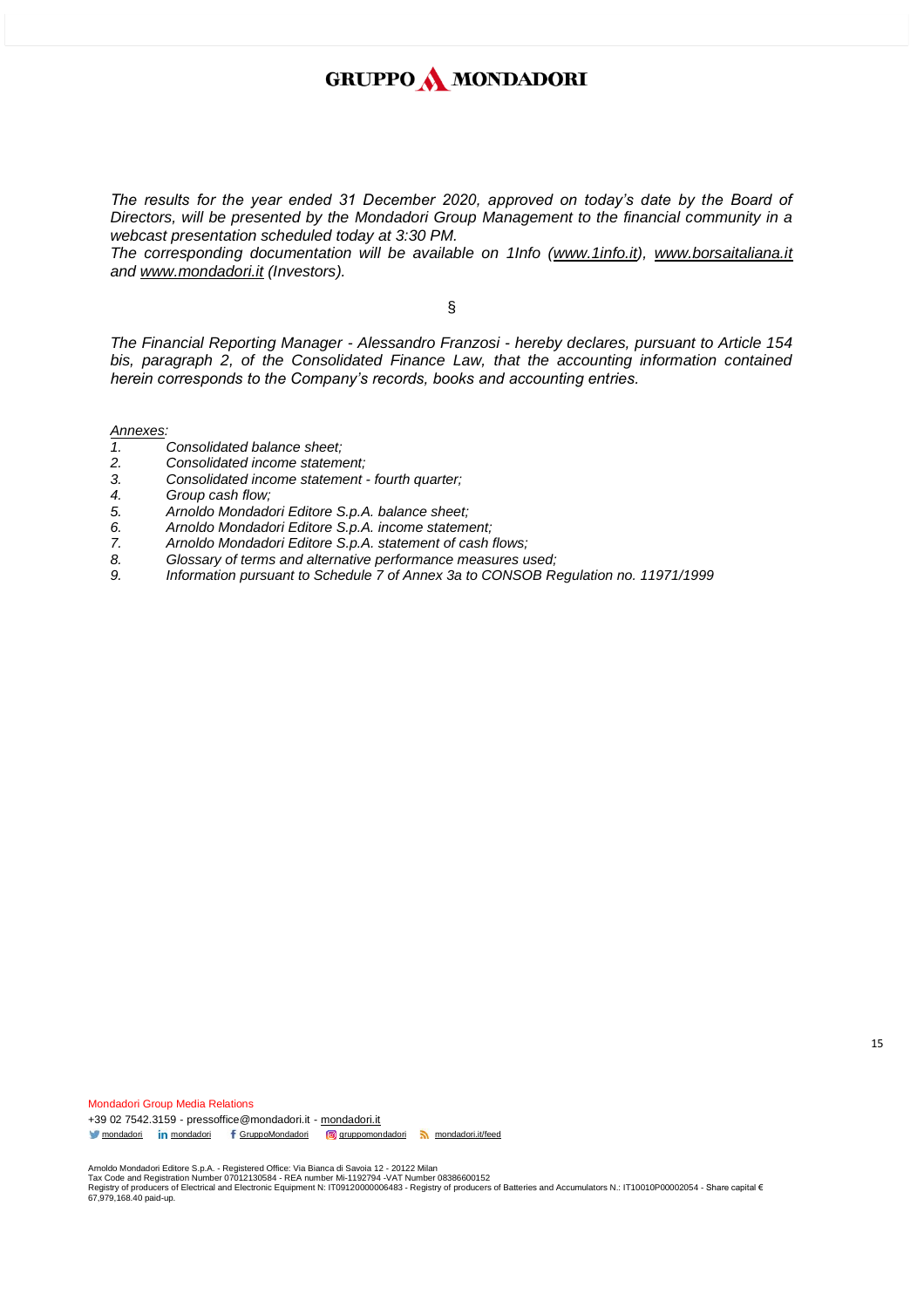*The results for the year ended 31 December 2020, approved on today's date by the Board of Directors, will be presented by the Mondadori Group Management to the financial community in a webcast presentation scheduled today at 3:30 PM.*

*The corresponding documentation will be available on 1Info [\(www.1info.it\)](http://www.1info.it/)*, [www.borsaitaliana.it](http://www.borsaitaliana.it/) *and [www.mondadori.it](http://www.mondadori.it/) (Investors).*

§

*The Financial Reporting Manager - Alessandro Franzosi - hereby declares, pursuant to Article 154*  bis, paragraph 2, of the Consolidated Finance Law, that the accounting information contained *herein corresponds to the Company's records, books and accounting entries.*

*Annexes:*

- *1. Consolidated balance sheet;*
- *2. Consolidated income statement;*
- *3. Consolidated income statement - fourth quarter;*
- *4. Group cash flow;*
- *5. Arnoldo Mondadori Editore S.p.A. balance sheet;*
- *6. Arnoldo Mondadori Editore S.p.A. income statement;*
- *7. Arnoldo Mondadori Editore S.p.A. statement of cash flows;*
- *8. Glossary of terms and alternative performance measures used;*
- *9. Information pursuant to Schedule 7 of Annex 3a to CONSOB Regulation no. 11971/1999*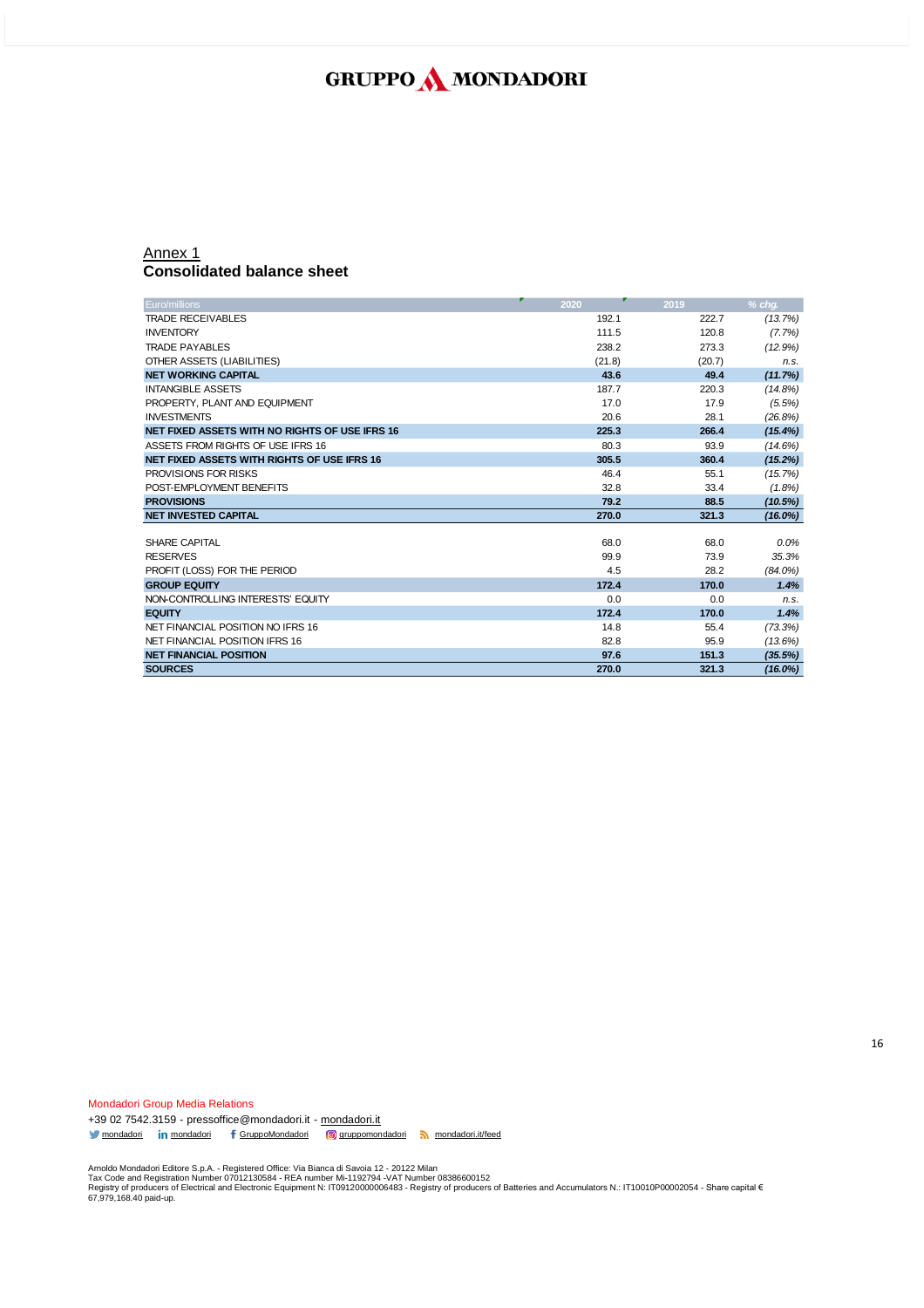### Annex 1 **Consolidated balance sheet**

| Euro/millions                                  | 2020   | 2019   | $%$ cha.   |
|------------------------------------------------|--------|--------|------------|
| <b>TRADE RECEIVABLES</b>                       | 192.1  | 222.7  |            |
|                                                |        |        | (13.7%)    |
| <b>INVENTORY</b>                               | 111.5  | 120.8  | (7.7%)     |
| <b>TRADE PAYABLES</b>                          | 238.2  | 273.3  | (12.9%)    |
| OTHER ASSETS (LIABILITIES)                     | (21.8) | (20.7) | n.s.       |
| <b>NET WORKING CAPITAL</b>                     | 43.6   | 49.4   | (11.7%)    |
| <b>INTANGIBLE ASSETS</b>                       | 187.7  | 220.3  | (14.8%)    |
| PROPERTY, PLANT AND EQUIPMENT                  | 17.0   | 17.9   | $(5.5\%)$  |
| <b>INVESTMENTS</b>                             | 20.6   | 28.1   | (26.8%)    |
| NET FIXED ASSETS WITH NO RIGHTS OF USE IFRS 16 | 225.3  | 266.4  | (15.4%)    |
| ASSETS FROM RIGHTS OF USE IFRS 16              | 80.3   | 93.9   | (14.6%)    |
| NET FIXED ASSETS WITH RIGHTS OF USE IFRS 16    | 305.5  | 360.4  | (15.2%)    |
| PROVISIONS FOR RISKS                           | 46.4   | 55.1   | (15.7%)    |
| POST-EMPLOYMENT BENEFITS                       | 32.8   | 33.4   | $(1.8\%)$  |
| <b>PROVISIONS</b>                              | 79.2   | 88.5   | (10.5%)    |
| <b>NET INVESTED CAPITAL</b>                    | 270.0  | 321.3  | $(16.0\%)$ |
|                                                |        |        |            |
| SHARE CAPITAL                                  | 68.0   | 68.0   | 0.0%       |
| <b>RESERVES</b>                                | 99.9   | 73.9   | 35.3%      |
| PROFIT (LOSS) FOR THE PERIOD                   | 4.5    | 28.2   | $(84.0\%)$ |
| <b>GROUP EQUITY</b>                            | 172.4  | 170.0  | 1.4%       |
| NON-CONTROLLING INTERESTS' EQUITY              | 0.0    | 0.0    | n.s.       |
| <b>EQUITY</b>                                  | 172.4  | 170.0  | 1.4%       |
| NET FINANCIAL POSITION NO IFRS 16              | 14.8   | 55.4   | (73.3%)    |
| NET FINANCIAL POSITION IFRS 16                 | 82.8   | 95.9   | (13.6%)    |
| <b>NET FINANCIAL POSITION</b>                  | 97.6   | 151.3  | (35.5%)    |
| <b>SOURCES</b>                                 | 270.0  | 321.3  | (16.0%)    |

Mondadori Group Media Relations

+39 02 7542.3159 - pressoffice@mondadori.it - [mondadori.it](http://www.mondadori.it/) [mondadori](http://www.linkedin.com/company/mondadori) in mondadori f [GruppoMondadori](http://www.facebook.com/GruppoMondadori) **g** [gruppomondadori](https://www.instagram.com/gruppomondadori/) [mondadori.it/feed](http://www.mondadori.it/feed)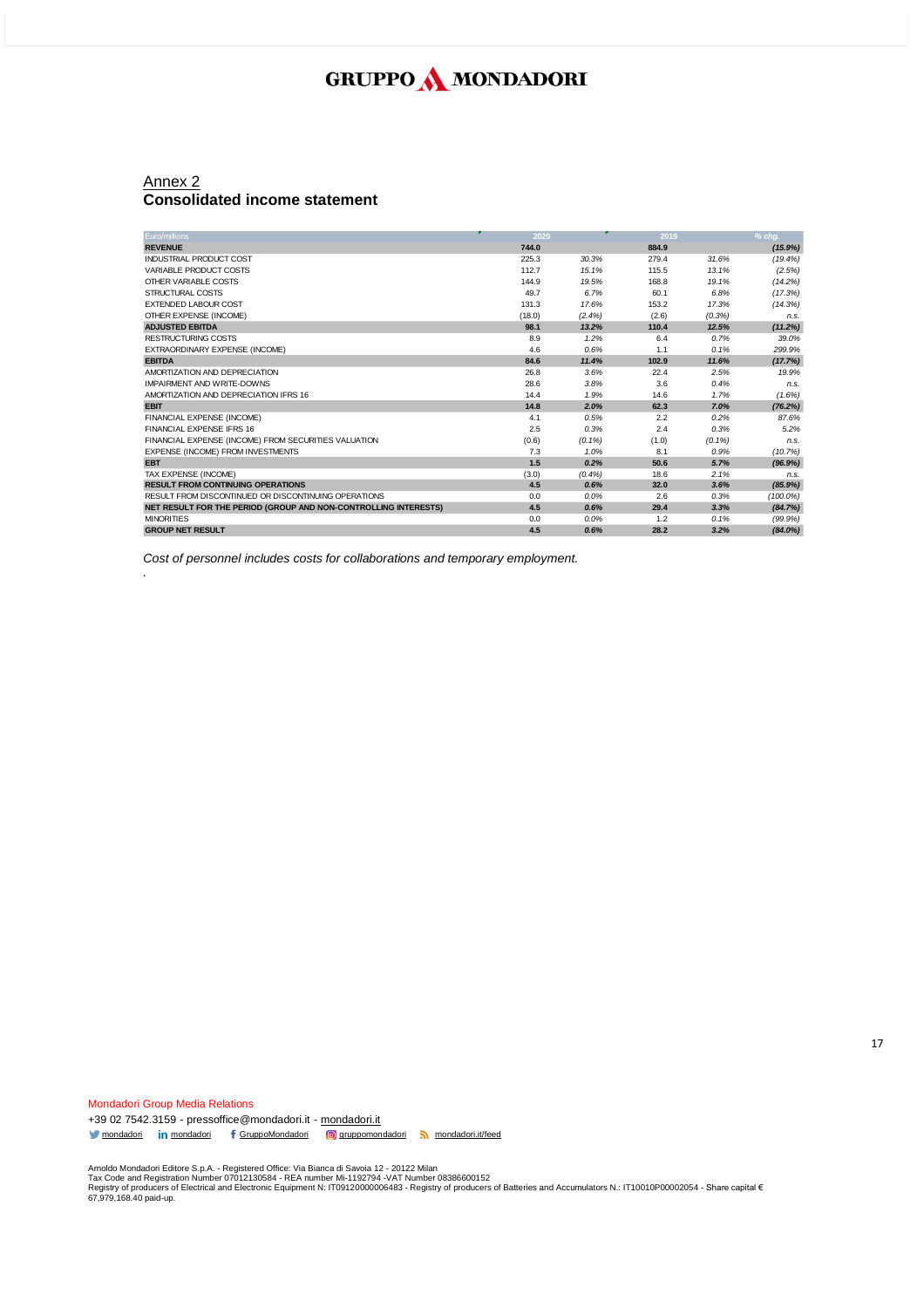#### Annex 2 **Consolidated income statement**

*.*

| Euro/millions                                                   | 2020   |           | 2019  |           | % cha.      |
|-----------------------------------------------------------------|--------|-----------|-------|-----------|-------------|
| <b>REVENUE</b>                                                  | 744.0  |           | 884.9 |           | (15.9%)     |
| <b>INDUSTRIAL PRODUCT COST</b>                                  | 225.3  | 30.3%     | 279.4 | 31.6%     | (19.4%)     |
| VARIABLE PRODUCT COSTS                                          | 112.7  | 15.1%     | 115.5 | 13.1%     | (2.5%)      |
| OTHER VARIABLE COSTS                                            | 144.9  | 19.5%     | 168.8 | 19.1%     | (14.2%)     |
| STRUCTURAL COSTS                                                | 49.7   | 6.7%      | 60.1  | 6.8%      | (17.3%)     |
| <b>EXTENDED LABOUR COST</b>                                     | 131.3  | 17.6%     | 153.2 | 17.3%     | (14.3%)     |
| OTHER EXPENSE (INCOME)                                          | (18.0) | $(2.4\%)$ | (2.6) | (0.3%)    | n.s.        |
| <b>ADJUSTED EBITDA</b>                                          | 98.1   | 13.2%     | 110.4 | 12.5%     | (11.2%)     |
| <b>RESTRUCTURING COSTS</b>                                      | 8.9    | 1.2%      | 6.4   | 0.7%      | 39.0%       |
| EXTRAORDINARY EXPENSE (INCOME)                                  | 4.6    | 0.6%      | 1.1   | 0.1%      | 299.9%      |
| <b>EBITDA</b>                                                   | 84.6   | 11.4%     | 102.9 | 11.6%     | (17.7%)     |
| AMORTIZATION AND DEPRECIATION                                   | 26.8   | 3.6%      | 22.4  | 2.5%      | 19.9%       |
| IMPAIRMENT AND WRITE-DOWNS                                      | 28.6   | 3.8%      | 3.6   | 0.4%      | n.s.        |
| AMORTIZATION AND DEPRECIATION IFRS 16                           | 14.4   | 1.9%      | 14.6  | 1.7%      | (1.6%)      |
| <b>EBIT</b>                                                     | 14.8   | 2.0%      | 62.3  | 7.0%      | (76.2%)     |
| FINANCIAL EXPENSE (INCOME)                                      | 4.1    | 0.5%      | 2.2   | 0.2%      | 87.6%       |
| FINANCIAL EXPENSE IFRS 16                                       | 2.5    | 0.3%      | 2.4   | 0.3%      | 5.2%        |
| FINANCIAL EXPENSE (INCOME) FROM SECURITIES VALUATION            | (0.6)  | $(0.1\%)$ | (1.0) | $(0.1\%)$ | n.s.        |
| <b>EXPENSE (INCOME) FROM INVESTMENTS</b>                        | 7.3    | 1.0%      | 8.1   | 0.9%      | (10.7%)     |
| <b>EBT</b>                                                      | 1.5    | 0.2%      | 50.6  | 5.7%      | (96.9%)     |
| TAX EXPENSE (INCOME)                                            | (3.0)  | (0.4%     | 18.6  | 2.1%      | n.s.        |
| <b>RESULT FROM CONTINUING OPERATIONS</b>                        | 4.5    | 0.6%      | 32.0  | 3.6%      | (85.9%)     |
| RESULT FROM DISCONTINUED OR DISCONTINUING OPERATIONS            | 0.0    | 0.0%      | 2.6   | 0.3%      | $(100.0\%)$ |
| NET RESULT FOR THE PERIOD (GROUP AND NON-CONTROLLING INTERESTS) | 4.5    | 0.6%      | 29.4  | 3.3%      | (84.7%)     |
| <b>MINORITIES</b>                                               | 0.0    | 0.0%      | 1.2   | 0.1%      | (99.9%      |
| <b>GROUP NET RESULT</b>                                         | 4.5    | 0.6%      | 28.2  | 3.2%      | $(84.0\%)$  |

*Cost of personnel includes costs for collaborations and temporary employment.*

Mondadori Group Media Relations +39 02 7542.3159 - pressoffice@mondadori.it - [mondadori.it](http://www.mondadori.it/) [mondadori](http://www.linkedin.com/company/mondadori) in mondadori f [GruppoMondadori](http://www.facebook.com/GruppoMondadori) **g** [gruppomondadori](https://www.instagram.com/gruppomondadori/) [mondadori.it/feed](http://www.mondadori.it/feed)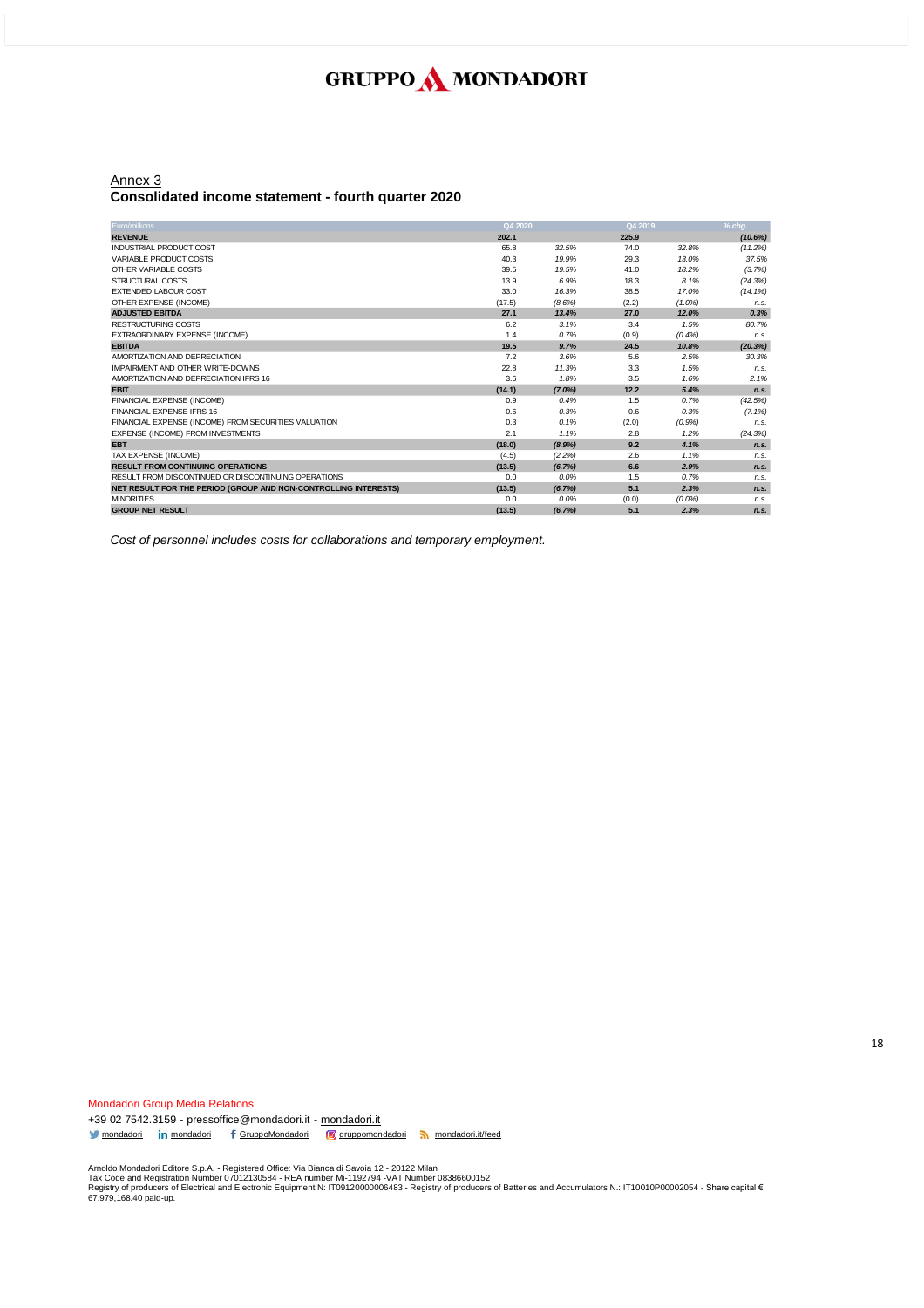#### Annex 3 **Consolidated income statement - fourth quarter 2020**

| Euro/millions                                                   | Q4 2020 |           | Q4 2019 |           | $%$ cha.   |
|-----------------------------------------------------------------|---------|-----------|---------|-----------|------------|
| <b>REVENUE</b>                                                  | 202.1   |           | 225.9   |           | (10.6%)    |
| <b>INDUSTRIAL PRODUCT COST</b>                                  | 65.8    | 32.5%     | 74.0    | 32.8%     | (11.2%)    |
| VARIABLE PRODUCT COSTS                                          | 40.3    | 19.9%     | 29.3    | 13.0%     | 37.5%      |
| OTHER VARIABLE COSTS                                            | 39.5    | 19.5%     | 41.0    | 18.2%     | (3.7%)     |
| STRUCTURAL COSTS                                                | 13.9    | 6.9%      | 18.3    | 8.1%      | (24.3%)    |
| <b>EXTENDED LABOUR COST</b>                                     | 33.0    | 16.3%     | 38.5    | 17.0%     | $(14.1\%)$ |
| OTHER EXPENSE (INCOME)                                          | (17.5)  | (8.6%)    | (2.2)   | $(1.0\%)$ | n.s.       |
| <b>ADJUSTED EBITDA</b>                                          | 27.1    | 13.4%     | 27.0    | 12.0%     | 0.3%       |
| RESTRUCTURING COSTS                                             | 6.2     | 3.1%      | 3.4     | 1.5%      | 80.7%      |
| EXTRAORDINARY EXPENSE (INCOME)                                  | 1.4     | 0.7%      | (0.9)   | (0.4%     | n.s.       |
| <b>EBITDA</b>                                                   | 19.5    | 9.7%      | 24.5    | 10.8%     | (20.3%)    |
| AMORTIZATION AND DEPRECIATION                                   | 7.2     | 3.6%      | 5.6     | 2.5%      | 30.3%      |
| IMPAIRMENT AND OTHER WRITE-DOWNS                                | 22.8    | 11.3%     | 3.3     | 1.5%      | n.s.       |
| AMORTIZATION AND DEPRECIATION IFRS 16                           | 3.6     | 1.8%      | 3.5     | 1.6%      | 2.1%       |
| <b>EBIT</b>                                                     | (14.1)  | $(7.0\%)$ | 12.2    | 5.4%      | n.s.       |
| FINANCIAL EXPENSE (INCOME)                                      | 0.9     | 0.4%      | 1.5     | 0.7%      | (42.5%)    |
| FINANCIAL EXPENSE IFRS 16                                       | 0.6     | 0.3%      | 0.6     | 0.3%      | $(7.1\%)$  |
| FINANCIAL EXPENSE (INCOME) FROM SECURITIES VALUATION            | 0.3     | 0.1%      | (2.0)   | (0.9%     | n.s.       |
| EXPENSE (INCOME) FROM INVESTMENTS                               | 2.1     | 1.1%      | 2.8     | 1.2%      | (24.3%)    |
| <b>EBT</b>                                                      | (18.0)  | (8.9%)    | 9.2     | 4.1%      | n.s.       |
| TAX EXPENSE (INCOME)                                            | (4.5)   | (2.2%)    | 2.6     | 1.1%      | n.s.       |
| <b>RESULT FROM CONTINUING OPERATIONS</b>                        | (13.5)  | (6.7%)    | 6.6     | 2.9%      | n.s.       |
| RESULT FROM DISCONTINUED OR DISCONTINUING OPERATIONS            | 0.0     | 0.0%      | 1.5     | 0.7%      | n.s.       |
| NET RESULT FOR THE PERIOD (GROUP AND NON-CONTROLLING INTERESTS) | (13.5)  | (6.7%)    | 5.1     | 2.3%      | n.s.       |
| <b>MINORITIES</b>                                               | 0.0     | 0.0%      | (0.0)   | $(0.0\%)$ | n.s.       |
| <b>GROUP NET RESULT</b>                                         | (13.5)  | (6.7%)    | 5.1     | 2.3%      | n.s.       |

*Cost of personnel includes costs for collaborations and temporary employment.*

Mondadori Group Media Relations +39 02 7542.3159 - pressoffice@mondadori.it - [mondadori.it](http://www.mondadori.it/) [mondadori](http://www.linkedin.com/company/mondadori) in mondadori f [GruppoMondadori](http://www.facebook.com/GruppoMondadori) **g** [gruppomondadori](https://www.instagram.com/gruppomondadori/) [mondadori.it/feed](http://www.mondadori.it/feed)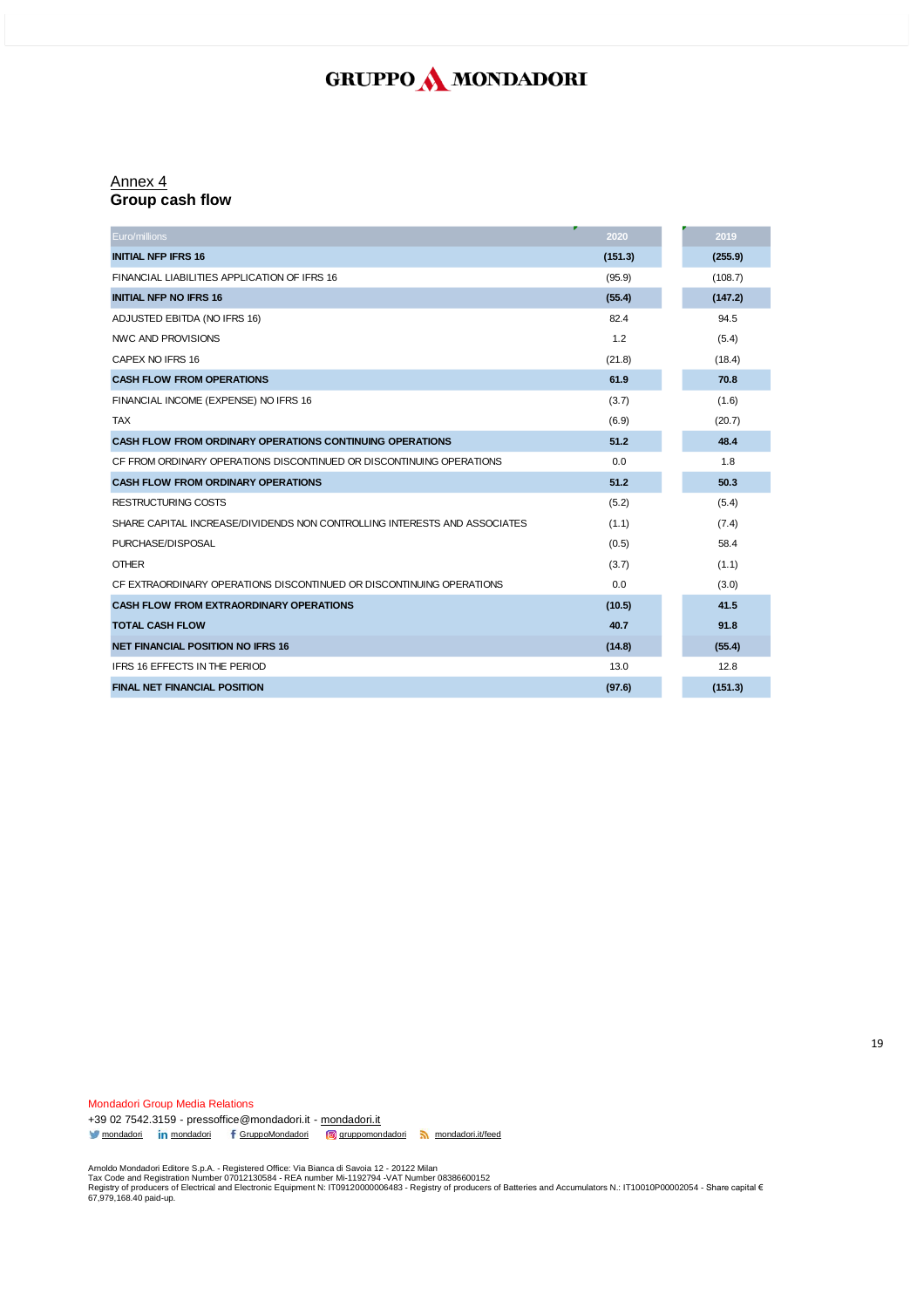#### Annex 4 **Group cash flow**

| Euro/millions                                                             | 2020    | 2019    |
|---------------------------------------------------------------------------|---------|---------|
| <b>INITIAL NFP IFRS 16</b>                                                | (151.3) | (255.9) |
| FINANCIAL LIABILITIES APPLICATION OF IFRS 16                              | (95.9)  | (108.7) |
| <b>INITIAL NFP NO IFRS 16</b>                                             | (55.4)  | (147.2) |
| ADJUSTED EBITDA (NO IFRS 16)                                              | 82.4    | 94.5    |
| NWC AND PROVISIONS                                                        | 1.2     | (5.4)   |
| CAPEX NO IFRS 16                                                          | (21.8)  | (18.4)  |
| <b>CASH FLOW FROM OPERATIONS</b>                                          | 61.9    | 70.8    |
| FINANCIAL INCOME (EXPENSE) NO IFRS 16                                     | (3.7)   | (1.6)   |
| <b>TAX</b>                                                                | (6.9)   | (20.7)  |
| <b>CASH FLOW FROM ORDINARY OPERATIONS CONTINUING OPERATIONS</b>           | 51.2    | 48.4    |
| CF FROM ORDINARY OPERATIONS DISCONTINUED OR DISCONTINUING OPERATIONS      | 0.0     | 1.8     |
| <b>CASH FLOW FROM ORDINARY OPERATIONS</b>                                 | 51.2    | 50.3    |
| <b>RESTRUCTURING COSTS</b>                                                | (5.2)   | (5.4)   |
| SHARE CAPITAL INCREASE/DIVIDENDS NON CONTROLLING INTERESTS AND ASSOCIATES | (1.1)   | (7.4)   |
| PURCHASE/DISPOSAL                                                         | (0.5)   | 58.4    |
| <b>OTHER</b>                                                              | (3.7)   | (1.1)   |
| CF EXTRAORDINARY OPERATIONS DISCONTINUED OR DISCONTINUING OPERATIONS      | 0.0     | (3.0)   |
| <b>CASH FLOW FROM EXTRAORDINARY OPERATIONS</b>                            | (10.5)  | 41.5    |
| <b>TOTAL CASH FLOW</b>                                                    | 40.7    | 91.8    |
| <b>NET FINANCIAL POSITION NO IFRS 16</b>                                  | (14.8)  | (55.4)  |
| IFRS 16 EFFECTS IN THE PERIOD                                             | 13.0    | 12.8    |
| <b>FINAL NET FINANCIAL POSITION</b>                                       | (97.6)  | (151.3) |

[mondadori](http://www.linkedin.com/company/mondadori) in mondadori f [GruppoMondadori](http://www.facebook.com/GruppoMondadori) **g** [gruppomondadori](https://www.instagram.com/gruppomondadori/) [mondadori.it/feed](http://www.mondadori.it/feed)

+39 02 7542.3159 - pressoffice@mondadori.it - [mondadori.it](http://www.mondadori.it/)

Mondadori Group Media Relations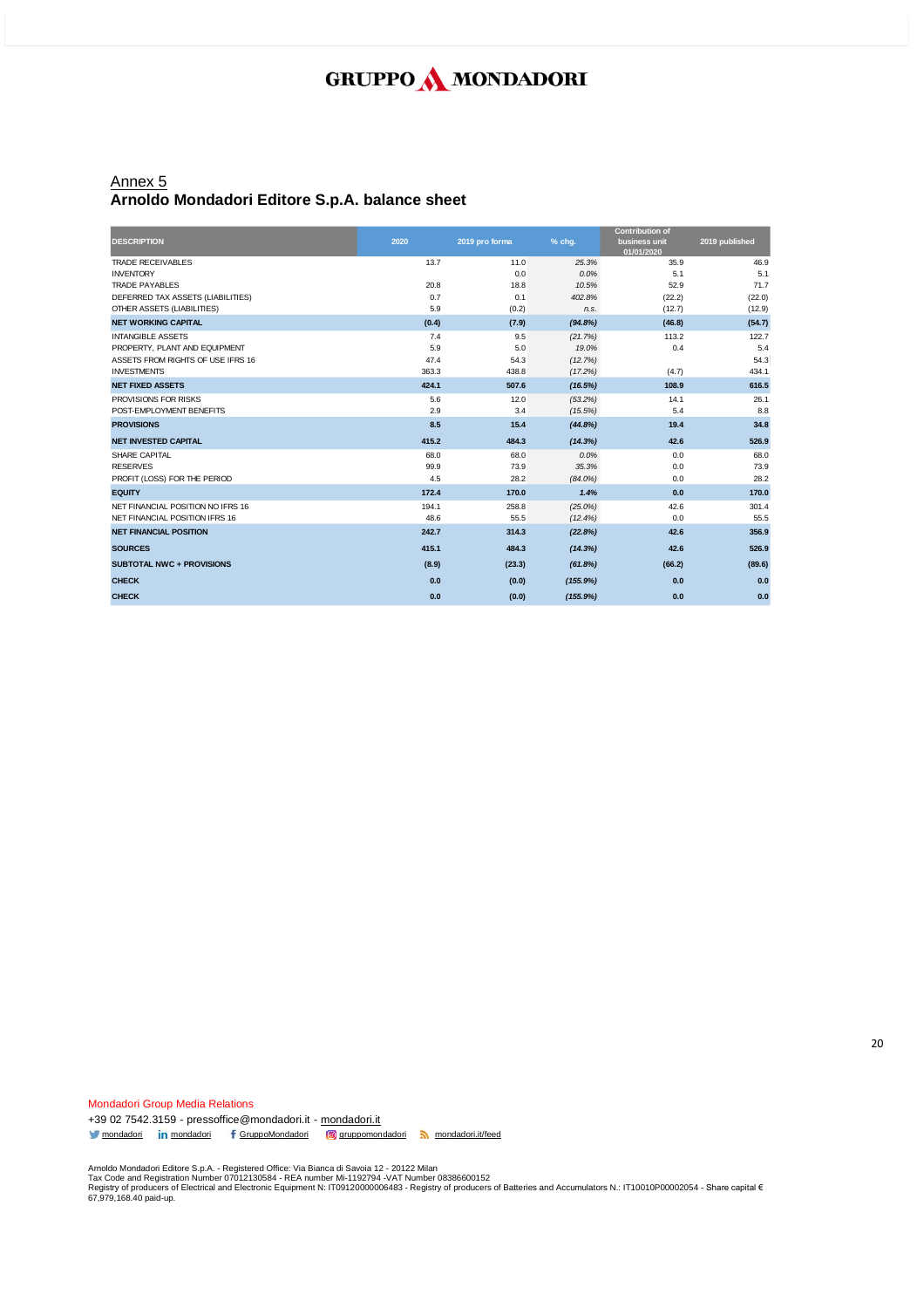### Annex 5 **Arnoldo Mondadori Editore S.p.A. balance sheet**

|                                   |       |                |            | <b>Contribution of</b>      |                |
|-----------------------------------|-------|----------------|------------|-----------------------------|----------------|
| <b>DESCRIPTION</b>                | 2020  | 2019 pro forma | % chg.     | business unit<br>01/01/2020 | 2019 published |
| <b>TRADE RECEIVABLES</b>          | 13.7  | 11.0           | 25.3%      | 35.9                        | 46.9           |
| <b>INVENTORY</b>                  |       | 0.0            | 0.0%       | 5.1                         | 5.1            |
| <b>TRADE PAYABLES</b>             | 20.8  | 18.8           | 10.5%      | 52.9                        | 71.7           |
| DEFERRED TAX ASSETS (LIABILITIES) | 0.7   | 0.1            | 402.8%     | (22.2)                      | (22.0)         |
| OTHER ASSETS (LIABILITIES)        | 5.9   | (0.2)          | n.s.       | (12.7)                      | (12.9)         |
| <b>NET WORKING CAPITAL</b>        | (0.4) | (7.9)          | (94.8%)    | (46.8)                      | (54.7)         |
| <b>INTANGIBLE ASSETS</b>          | 7.4   | 9.5            | (21.7%)    | 113.2                       | 122.7          |
| PROPERTY, PLANT AND EQUIPMENT     | 5.9   | 5.0            | 19.0%      | 0.4                         | 5.4            |
| ASSETS FROM RIGHTS OF USE IFRS 16 | 47.4  | 54.3           | (12.7%)    |                             | 54.3           |
| <b>INVESTMENTS</b>                | 363.3 | 438.8          | (17.2%)    | (4.7)                       | 434.1          |
| <b>NET FIXED ASSETS</b>           | 424.1 | 507.6          | (16.5%)    | 108.9                       | 616.5          |
| PROVISIONS FOR RISKS              | 5.6   | 12.0           | (53.2%)    | 14.1                        | 26.1           |
| POST-EMPLOYMENT BENEFITS          | 2.9   | 3.4            | (15.5%)    | 5.4                         | 8.8            |
| <b>PROVISIONS</b>                 | 8.5   | 15.4           | (44.8%)    | 19.4                        | 34.8           |
| <b>NET INVESTED CAPITAL</b>       | 415.2 | 484.3          | (14.3%)    | 42.6                        | 526.9          |
| SHARE CAPITAL                     | 68.0  | 68.0           | 0.0%       | 0.0                         | 68.0           |
| <b>RESERVES</b>                   | 99.9  | 73.9           | 35.3%      | 0.0                         | 73.9           |
| PROFIT (LOSS) FOR THE PERIOD      | 4.5   | 28.2           | $(84.0\%)$ | 0.0                         | 28.2           |
| <b>EQUITY</b>                     | 172.4 | 170.0          | 1.4%       | 0.0                         | 170.0          |
| NET FINANCIAL POSITION NO IFRS 16 | 194.1 | 258.8          | $(25.0\%)$ | 42.6                        | 301.4          |
| NET FINANCIAL POSITION IFRS 16    | 48.6  | 55.5           | (12.4%)    | 0.0                         | 55.5           |
| <b>NET FINANCIAL POSITION</b>     | 242.7 | 314.3          | (22.8%)    | 42.6                        | 356.9          |
| <b>SOURCES</b>                    | 415.1 | 484.3          | (14.3%)    | 42.6                        | 526.9          |
| <b>SUBTOTAL NWC + PROVISIONS</b>  | (8.9) | (23.3)         | (61.8%)    | (66.2)                      | (89.6)         |
| <b>CHECK</b>                      | 0.0   | (0.0)          | (155.9%)   | 0.0                         | 0.0            |
| <b>CHECK</b>                      | 0.0   | (0.0)          | (155.9%)   | 0.0                         | 0.0            |

Mondadori Group Media Relations +39 02 7542.3159 - pressoffice@mondadori.it - [mondadori.it](http://www.mondadori.it/) [mondadori](http://www.linkedin.com/company/mondadori) in mondadori f [GruppoMondadori](http://www.facebook.com/GruppoMondadori) **g** [gruppomondadori](https://www.instagram.com/gruppomondadori/) [mondadori.it/feed](http://www.mondadori.it/feed)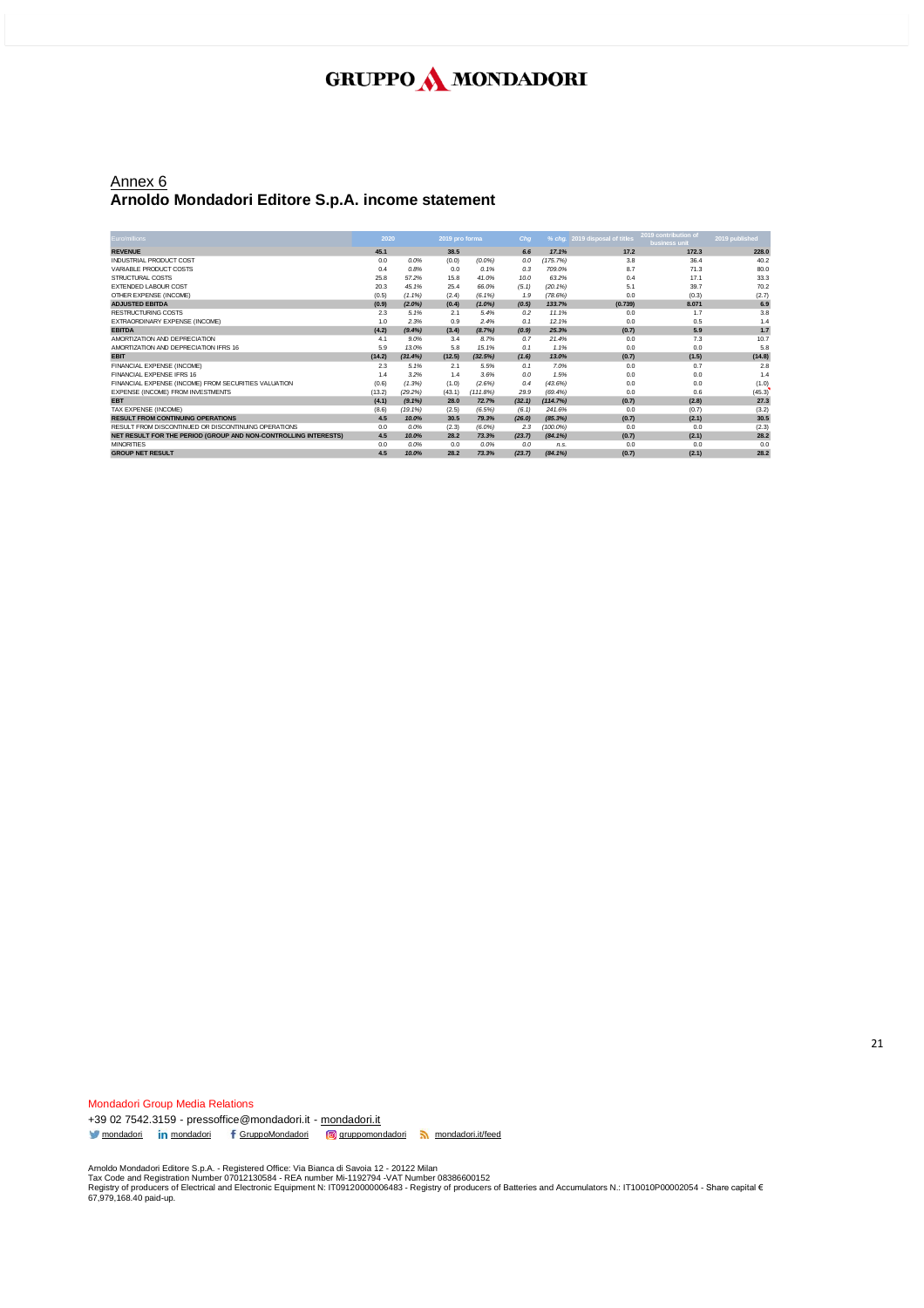#### Annex 6 **Arnoldo Mondadori Editore S.p.A. income statement**

| Euro/millions                                                   | 2020   |            | 2019 pro forma |           | Chq    |            | % chg. 2019 disposal of titles | 2019 contribution of<br>business unit | 2019 published |
|-----------------------------------------------------------------|--------|------------|----------------|-----------|--------|------------|--------------------------------|---------------------------------------|----------------|
| <b>REVENUE</b>                                                  | 45.1   |            | 38.5           |           | 6.6    | 17.1%      | 17.2                           | 172.3                                 | 228.0          |
| INDUSTRIAL PRODUCT COST                                         | 0.0    | 0.0%       | (0.0)          | (0.0%     | 0.0    | (175.7%)   | 3.8                            | 36.4                                  | 40.2           |
| VARIABLE PRODUCT COSTS                                          | 0.4    | 0.8%       | 0.0            | 0.1%      | 0.3    | 709.0%     | 8.7                            | 71.3                                  | 80.0           |
| STRUCTURAL COSTS                                                | 25.8   | 57.2%      | 15.8           | 41.0%     | 10.0   | 63.2%      | 0.4                            | 17.1                                  | 33.3           |
| <b>EXTENDED LABOUR COST</b>                                     | 20.3   | 45.1%      | 25.4           | 66.0%     | (5.1)  | (20.1%     | 5.1                            | 39.7                                  | 70.2           |
| OTHER EXPENSE (INCOME)                                          | (0.5)  | $(1.1\%)$  | (2.4)          | $(6.1\%)$ | 1.9    | (78.6%)    | 0.0                            | (0.3)                                 | (2.7)          |
| <b>ADJUSTED EBITDA</b>                                          | (0.9)  | $(2.0\%)$  | (0.4)          | $(1.0\%)$ | (0.5)  | 133.7%     | (0.739)                        | 8.071                                 | 6.9            |
| <b>RESTRUCTURING COSTS</b>                                      | 2.3    | 5.1%       | 2.1            | 5.4%      | 0.2    | 11.1%      | 0.0                            | 1.7                                   | 3.8            |
| EXTRAORDINARY EXPENSE (INCOME)                                  | 1.0    | 2.3%       | 0.9            | 2.4%      | 0.1    | 12.1%      | 0.0                            | 0.5                                   | 1.4            |
| <b>EBITDA</b>                                                   | (4.2)  | (9.4%)     | (3.4)          | (8.7%)    | (0.9)  | 25.3%      | (0.7)                          | 5.9                                   | 1.7            |
| AMORTIZATION AND DEPRECIATION                                   | 4.1    | 9.0%       | 3.4            | 8.7%      | 0.7    | 21.4%      | 0.0                            | 7.3                                   | 10.7           |
| AMORTIZATION AND DEPRECIATION IFRS 16                           | 5.9    | 13.0%      | 5.8            | 15.1%     | 0.1    | 1.1%       | 0.0                            | 0.0                                   | 5.8            |
| <b>EBIT</b>                                                     | (14.2) | (31.4%)    | (12.5)         | (32.5%)   | (1.6)  | 13.0%      | (0.7)                          | (1.5)                                 | (14.8)         |
| FINANCIAL EXPENSE (INCOME)                                      | 2.3    | 5.1%       | 2.1            | 5.5%      | 0.1    | 7.0%       | 0.0                            | 0.7                                   | 2.8            |
| FINANCIAL EXPENSE IFRS 16                                       | 1.4    | 3.2%       | 1.4            | 3.6%      | 0.0    | 1.5%       | 0.0                            | 0.0                                   | 1.4            |
| FINANCIAL EXPENSE (INCOME) FROM SECURITIES VALUATION            | (0.6)  | (1.3%)     | (1.0)          | (2.6%)    | 0.4    | (43.6%)    | 0.0                            | 0.0                                   | (1.0)          |
| EXPENSE (INCOME) FROM INVESTMENTS                               | (13.2) | (29.2%     | (43.1)         | (111.8%)  | 29.9   | (69.4%)    | 0.0                            | 0.6                                   | (45.3)         |
| <b>EBT</b>                                                      | (4.1)  | $(9.1\%)$  | 28.0           | 72.7%     | (32.1) | (114.7%)   | (0.7)                          | (2.8)                                 | 27.3           |
| TAX EXPENSE (INCOME)                                            | (8.6)  | $(19.1\%)$ | (2.5)          | (6.5%)    | (6.1)  | 241.6%     | 0.0                            | (0.7)                                 | (3.2)          |
| <b>RESULT FROM CONTINUING OPERATIONS</b>                        | 4.5    | 10.0%      | 30.5           | 79.3%     | (26.0) | (85.3%)    | (0.7)                          | (2.1)                                 | 30.5           |
| RESULT FROM DISCONTINUED OR DISCONTINUING OPERATIONS            | 0.0    | 0.0%       | (2.3)          | (6.0%     | 2.3    | (100.0%    | 0.0                            | 0.0                                   | (2.3)          |
| NET RESULT FOR THE PERIOD (GROUP AND NON-CONTROLLING INTERESTS) | 4.5    | 10.0%      | 28.2           | 73.3%     | (23.7) | $(84.1\%)$ | (0.7)                          | (2.1)                                 | 28.2           |
| <b>MINORITIES</b>                                               | 0.0    | 0.0%       | 0.0            | 0.0%      | 0.0    | n.s.       | 0.0                            | 0.0                                   | 0.0            |
| <b>GROUP NET RESULT</b>                                         | 4.5    | 10.0%      | 28.2           | 73.3%     | (23.7) | $(84.1\%)$ | (0.7)                          | (2.1)                                 | 28.2           |

Mondadori Group Media Relations +39 02 7542.3159 - pressoffice@mondadori.it - [mondadori.it](http://www.mondadori.it/) [mondadori](http://www.linkedin.com/company/mondadori) in mondadori f [GruppoMondadori](http://www.facebook.com/GruppoMondadori) **g** [gruppomondadori](https://www.instagram.com/gruppomondadori/) [mondadori.it/feed](http://www.mondadori.it/feed)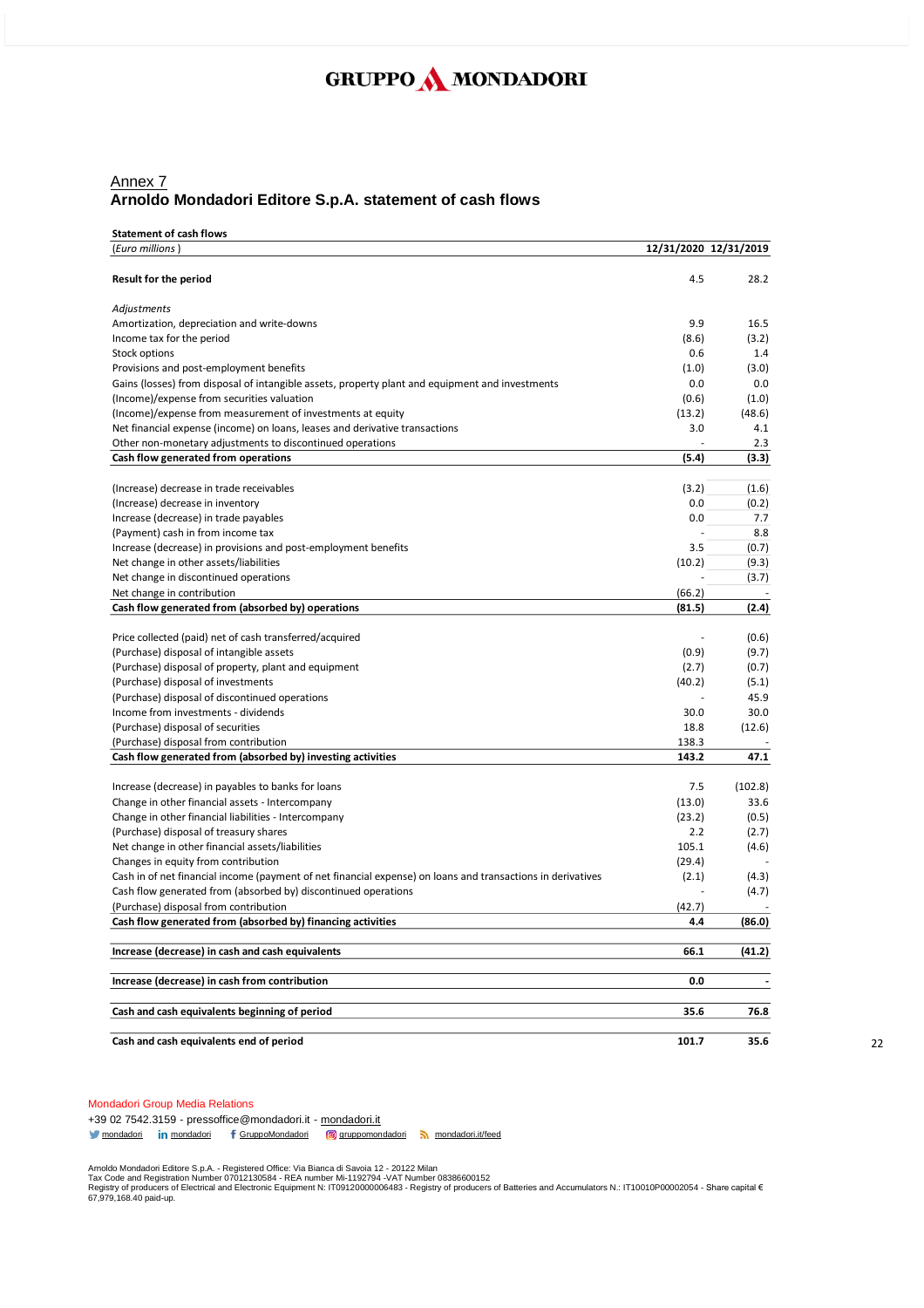### Annex 7 **Arnoldo Mondadori Editore S.p.A. statement of cash flows**

#### **Statement of cash flows**

| (Euro millions)                                                                                             |        | 12/31/2020 12/31/2019 |
|-------------------------------------------------------------------------------------------------------------|--------|-----------------------|
| Result for the period                                                                                       | 4.5    | 28.2                  |
| Adjustments                                                                                                 |        |                       |
| Amortization, depreciation and write-downs                                                                  | 9.9    | 16.5                  |
| Income tax for the period                                                                                   | (8.6)  | (3.2)                 |
| Stock options                                                                                               | 0.6    | 1.4                   |
| Provisions and post-employment benefits                                                                     | (1.0)  | (3.0)                 |
| Gains (losses) from disposal of intangible assets, property plant and equipment and investments             | 0.0    | 0.0                   |
| (Income)/expense from securities valuation                                                                  | (0.6)  | (1.0)                 |
| (Income)/expense from measurement of investments at equity                                                  | (13.2) | (48.6)                |
| Net financial expense (income) on loans, leases and derivative transactions                                 | 3.0    | 4.1                   |
| Other non-monetary adjustments to discontinued operations                                                   |        | 2.3                   |
| Cash flow generated from operations                                                                         | (5.4)  | (3.3)                 |
| (Increase) decrease in trade receivables                                                                    | (3.2)  | (1.6)                 |
| (Increase) decrease in inventory                                                                            | 0.0    | (0.2)                 |
| Increase (decrease) in trade payables                                                                       | 0.0    | 7.7                   |
| (Payment) cash in from income tax                                                                           |        | 8.8                   |
| Increase (decrease) in provisions and post-employment benefits                                              | 3.5    | (0.7)                 |
| Net change in other assets/liabilities                                                                      | (10.2) | (9.3)                 |
| Net change in discontinued operations                                                                       |        | (3.7)                 |
| Net change in contribution                                                                                  | (66.2) |                       |
| Cash flow generated from (absorbed by) operations                                                           | (81.5) | (2.4)                 |
| Price collected (paid) net of cash transferred/acquired                                                     |        | (0.6)                 |
| (Purchase) disposal of intangible assets                                                                    | (0.9)  | (9.7)                 |
| (Purchase) disposal of property, plant and equipment                                                        | (2.7)  | (0.7)                 |
| (Purchase) disposal of investments                                                                          | (40.2) | (5.1)                 |
| (Purchase) disposal of discontinued operations                                                              |        | 45.9                  |
| Income from investments - dividends                                                                         | 30.0   | 30.0                  |
| (Purchase) disposal of securities                                                                           | 18.8   | (12.6)                |
| (Purchase) disposal from contribution                                                                       | 138.3  |                       |
| Cash flow generated from (absorbed by) investing activities                                                 | 143.2  | 47.1                  |
| Increase (decrease) in payables to banks for loans                                                          | 7.5    | (102.8)               |
| Change in other financial assets - Intercompany                                                             | (13.0) | 33.6                  |
| Change in other financial liabilities - Intercompany                                                        | (23.2) | (0.5)                 |
| (Purchase) disposal of treasury shares                                                                      | 2.2    | (2.7)                 |
| Net change in other financial assets/liabilities                                                            | 105.1  | (4.6)                 |
| Changes in equity from contribution                                                                         | (29.4) |                       |
| Cash in of net financial income (payment of net financial expense) on loans and transactions in derivatives | (2.1)  | (4.3)                 |
| Cash flow generated from (absorbed by) discontinued operations                                              |        | (4.7)                 |
| (Purchase) disposal from contribution                                                                       | (42.7) |                       |
| Cash flow generated from (absorbed by) financing activities                                                 | 4.4    | (86.0)                |
| Increase (decrease) in cash and cash equivalents                                                            | 66.1   | (41.2)                |
| Increase (decrease) in cash from contribution                                                               | 0.0    |                       |
| Cash and cash equivalents beginning of period                                                               | 35.6   | 76.8                  |
| Cash and cash equivalents end of period                                                                     | 101.7  | 35.6                  |

#### Mondadori Group Media Relations

+39 02 7542.3159 - pressoffice@mondadori.it - [mondadori.it](http://www.mondadori.it/) [mondadori](http://www.linkedin.com/company/mondadori) in mondadori f [GruppoMondadori](http://www.facebook.com/GruppoMondadori) **g** [gruppomondadori](https://www.instagram.com/gruppomondadori/) [mondadori.it/feed](http://www.mondadori.it/feed)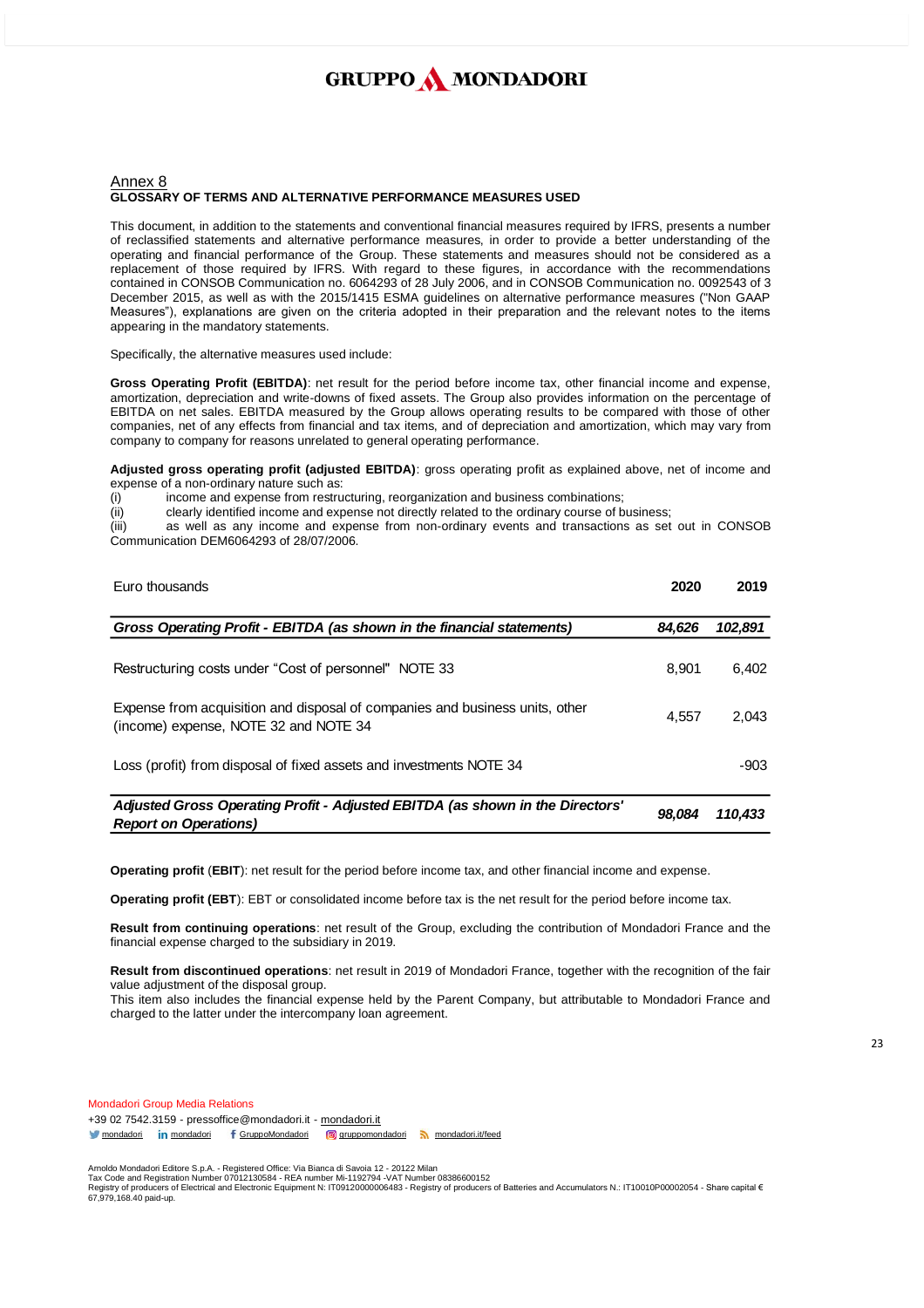#### Annex 8 **GLOSSARY OF TERMS AND ALTERNATIVE PERFORMANCE MEASURES USED**

This document, in addition to the statements and conventional financial measures required by IFRS, presents a number of reclassified statements and alternative performance measures, in order to provide a better understanding of the operating and financial performance of the Group. These statements and measures should not be considered as a replacement of those required by IFRS. With regard to these figures, in accordance with the recommendations contained in CONSOB Communication no. 6064293 of 28 July 2006, and in CONSOB Communication no. 0092543 of 3 December 2015, as well as with the 2015/1415 ESMA guidelines on alternative performance measures ("Non GAAP Measures"), explanations are given on the criteria adopted in their preparation and the relevant notes to the items appearing in the mandatory statements.

Specifically, the alternative measures used include:

**Gross Operating Profit (EBITDA)**: net result for the period before income tax, other financial income and expense, amortization, depreciation and write-downs of fixed assets. The Group also provides information on the percentage of EBITDA on net sales. EBITDA measured by the Group allows operating results to be compared with those of other companies, net of any effects from financial and tax items, and of depreciation and amortization, which may vary from company to company for reasons unrelated to general operating performance.

**Adjusted gross operating profit (adjusted EBITDA)**: gross operating profit as explained above, net of income and expense of a non-ordinary nature such as:

(i) income and expense from restructuring, reorganization and business combinations;

(ii) clearly identified income and expense not directly related to the ordinary course of business;

(iii) as well as any income and expense from non-ordinary events and transactions as set out in CONSOB Communication DEM6064293 of 28/07/2006.

| Euro thousands                                                                                                        | 2020   | 2019    |
|-----------------------------------------------------------------------------------------------------------------------|--------|---------|
| Gross Operating Profit - EBITDA (as shown in the financial statements)                                                | 84.626 | 102,891 |
| Restructuring costs under "Cost of personnel" NOTE 33                                                                 | 8,901  | 6,402   |
| Expense from acquisition and disposal of companies and business units, other<br>(income) expense, NOTE 32 and NOTE 34 | 4.557  | 2.043   |
| Loss (profit) from disposal of fixed assets and investments NOTE 34                                                   |        | -903    |
| Adjusted Gross Operating Profit - Adjusted EBITDA (as shown in the Directors'<br><b>Report on Operations)</b>         | 98.084 | 110,433 |

**Operating profit** (**EBIT**): net result for the period before income tax, and other financial income and expense.

**Operating profit (EBT**): EBT or consolidated income before tax is the net result for the period before income tax.

**Result from continuing operations**: net result of the Group, excluding the contribution of Mondadori France and the financial expense charged to the subsidiary in 2019.

**Result from discontinued operations**: net result in 2019 of Mondadori France, together with the recognition of the fair value adjustment of the disposal group.

This item also includes the financial expense held by the Parent Company, but attributable to Mondadori France and charged to the latter under the intercompany loan agreement.

Mondadori Group Media Relations +39 02 7542.3159 - pressoffice@mondadori.it - [mondadori.it](http://www.mondadori.it/) [mondadori](http://www.linkedin.com/company/mondadori) in mondadori f [GruppoMondadori](http://www.facebook.com/GruppoMondadori) **g** [gruppomondadori](https://www.instagram.com/gruppomondadori/) [mondadori.it/feed](http://www.mondadori.it/feed)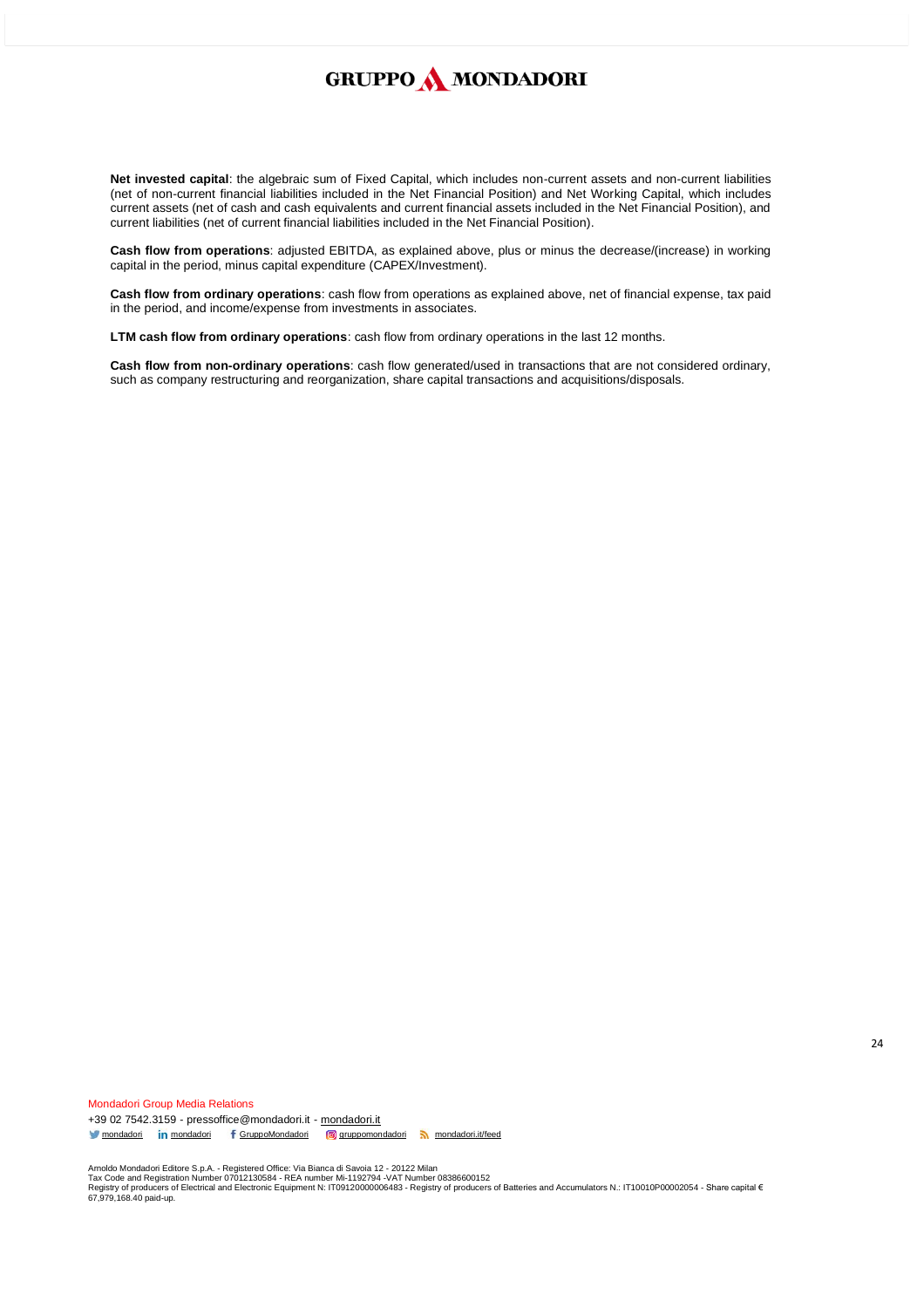**Net invested capital**: the algebraic sum of Fixed Capital, which includes non-current assets and non-current liabilities (net of non-current financial liabilities included in the Net Financial Position) and Net Working Capital, which includes current assets (net of cash and cash equivalents and current financial assets included in the Net Financial Position), and current liabilities (net of current financial liabilities included in the Net Financial Position).

**Cash flow from operations**: adjusted EBITDA, as explained above, plus or minus the decrease/(increase) in working capital in the period, minus capital expenditure (CAPEX/Investment).

**Cash flow from ordinary operations**: cash flow from operations as explained above, net of financial expense, tax paid in the period, and income/expense from investments in associates.

**LTM cash flow from ordinary operations**: cash flow from ordinary operations in the last 12 months.

**Cash flow from non-ordinary operations**: cash flow generated/used in transactions that are not considered ordinary, such as company restructuring and reorganization, share capital transactions and acquisitions/disposals.

Mondadori Group Media Relations +39 02 7542.3159 - pressoffice@mondadori.it - [mondadori.it](http://www.mondadori.it/) [mondadori](http://www.linkedin.com/company/mondadori) **in** mondadori f [GruppoMondadori](http://www.facebook.com/GruppoMondadori) **g** [gruppomondadori](https://www.instagram.com/gruppomondadori/) [mondadori.it/feed](http://www.mondadori.it/feed)